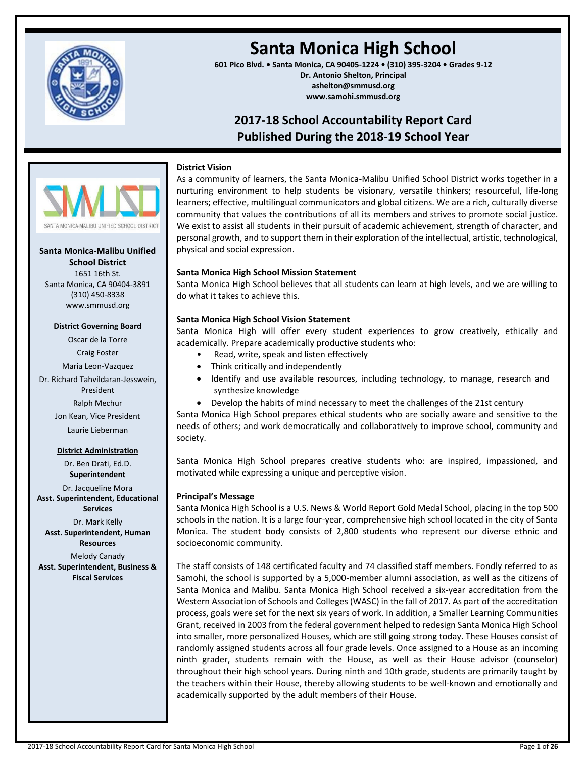

# **Santa Monica High School**

**601 Pico Blvd. • Santa Monica, CA 90405-1224 • (310) 395-3204 • Grades 9-12 Dr. Antonio Shelton, Principal ashelton@smmusd.org**

**www.samohi.smmusd.org**

## **2017-18 School Accountability Report Card Published During the 2018-19 School Year**

## **District Vision**

As a community of learners, the Santa Monica-Malibu Unified School District works together in a nurturing environment to help students be visionary, versatile thinkers; resourceful, life-long learners; effective, multilingual communicators and global citizens. We are a rich, culturally diverse community that values the contributions of all its members and strives to promote social justice. We exist to assist all students in their pursuit of academic achievement, strength of character, and personal growth, and to support them in their exploration of the intellectual, artistic, technological, physical and social expression.

## **Santa Monica High School Mission Statement**

Santa Monica High School believes that all students can learn at high levels, and we are willing to do what it takes to achieve this.

## **Santa Monica High School Vision Statement**

Santa Monica High will offer every student experiences to grow creatively, ethically and academically. Prepare academically productive students who:

- Read, write, speak and listen effectively
- Think critically and independently
- Identify and use available resources, including technology, to manage, research and synthesize knowledge
- Develop the habits of mind necessary to meet the challenges of the 21st century

Santa Monica High School prepares ethical students who are socially aware and sensitive to the needs of others; and work democratically and collaboratively to improve school, community and society.

Santa Monica High School prepares creative students who: are inspired, impassioned, and motivated while expressing a unique and perceptive vision.

## **Principal's Message**

Santa Monica High School is a U.S. News & World Report Gold Medal School, placing in the top 500 schools in the nation. It is a large four-year, comprehensive high school located in the city of Santa Monica. The student body consists of 2,800 students who represent our diverse ethnic and socioeconomic community.

The staff consists of 148 certificated faculty and 74 classified staff members. Fondly referred to as Samohi, the school is supported by a 5,000-member alumni association, as well as the citizens of Santa Monica and Malibu. Santa Monica High School received a six-year accreditation from the Western Association of Schools and Colleges (WASC) in the fall of 2017. As part of the accreditation process, goals were set for the next six years of work. In addition, a Smaller Learning Communities Grant, received in 2003 from the federal government helped to redesign Santa Monica High School into smaller, more personalized Houses, which are still going strong today. These Houses consist of randomly assigned students across all four grade levels. Once assigned to a House as an incoming ninth grader, students remain with the House, as well as their House advisor (counselor) throughout their high school years. During ninth and 10th grade, students are primarily taught by the teachers within their House, thereby allowing students to be well-known and emotionally and academically supported by the adult members of their House.

SANTA MONICA-MALIBU UNIFIED SCHOOL DISTRICT **Santa Monica-Malibu Unified School District** 1651 16th St.

Santa Monica, CA 90404-3891 (310) 450-8338 www.smmusd.org

## **District Governing Board**

Oscar de la Torre Craig Foster Maria Leon-Vazquez Dr. Richard Tahvildaran-Jesswein, President Ralph Mechur Jon Kean, Vice President Laurie Lieberman

## **District Administration**

Dr. Ben Drati, Ed.D. **Superintendent**

Dr. Jacqueline Mora **Asst. Superintendent, Educational Services** Dr. Mark Kelly **Asst. Superintendent, Human Resources** Melody Canady **Asst. Superintendent, Business & Fiscal Services**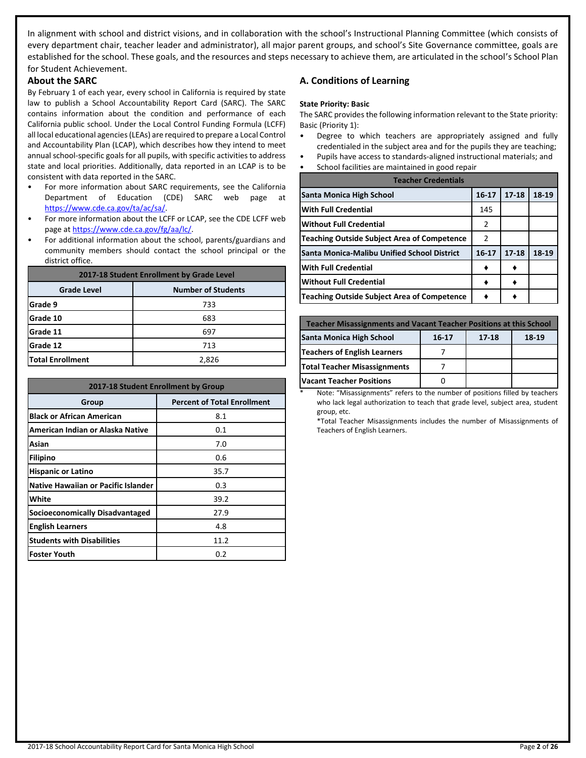In alignment with school and district visions, and in collaboration with the school's Instructional Planning Committee (which consists of every department chair, teacher leader and administrator), all major parent groups, and school's Site Governance committee, goals are established for the school. These goals, and the resources and steps necessary to achieve them, are articulated in the school's School Plan for Student Achievement.

## **About the SARC**

By February 1 of each year, every school in California is required by state law to publish a School Accountability Report Card (SARC). The SARC contains information about the condition and performance of each California public school. Under the Local Control Funding Formula (LCFF) all local educational agencies (LEAs) are required to prepare a Local Control and Accountability Plan (LCAP), which describes how they intend to meet annual school-specific goals for all pupils, with specific activities to address state and local priorities. Additionally, data reported in an LCAP is to be consistent with data reported in the SARC.

- For more information about SARC requirements, see the California Department of Education (CDE) SARC web page at [https://www.cde.ca.gov/ta/ac/sa/.](https://www.cde.ca.gov/ta/ac/sa/)
- For more information about the LCFF or LCAP, see the CDE LCFF web page at [https://www.cde.ca.gov/fg/aa/lc/.](https://www.cde.ca.gov/fg/aa/lc/)
- For additional information about the school, parents/guardians and community members should contact the school principal or the district office.

| 2017-18 Student Enrollment by Grade Level |                           |  |
|-------------------------------------------|---------------------------|--|
| <b>Grade Level</b>                        | <b>Number of Students</b> |  |
| Grade 9                                   | 733                       |  |
| Grade 10                                  | 683                       |  |
| Grade 11                                  | 697                       |  |
| Grade 12                                  | 713                       |  |
| <b>Total Enrollment</b>                   | 2,826                     |  |

| 2017-18 Student Enrollment by Group        |                                    |  |
|--------------------------------------------|------------------------------------|--|
| Group                                      | <b>Percent of Total Enrollment</b> |  |
| <b>Black or African American</b>           | 8.1                                |  |
| American Indian or Alaska Native           | 0.1                                |  |
| Asian                                      | 7.0                                |  |
| <b>Filipino</b>                            | 0.6                                |  |
| <b>Hispanic or Latino</b>                  | 35.7                               |  |
| <b>Native Hawaiian or Pacific Islander</b> | 0.3                                |  |
| White                                      | 39.2                               |  |
| Socioeconomically Disadvantaged            | 27.9                               |  |
| <b>English Learners</b>                    | 4.8                                |  |
| <b>Students with Disabilities</b>          | 11.2                               |  |
| lFoster Youth                              | 0.2                                |  |

## **A. Conditions of Learning**

#### **State Priority: Basic**

The SARC provides the following information relevant to the State priority: Basic (Priority 1):

- Degree to which teachers are appropriately assigned and fully credentialed in the subject area and for the pupils they are teaching;
- Pupils have access to standards-aligned instructional materials; and
- School facilities are maintained in good repair

| <b>Teacher Credentials</b>                         |               |           |       |
|----------------------------------------------------|---------------|-----------|-------|
| Santa Monica High School                           | $16 - 17$     | $17 - 18$ | 18-19 |
| With Full Credential                               | 145           |           |       |
| Without Full Credential                            | $\mathcal{P}$ |           |       |
| <b>Teaching Outside Subject Area of Competence</b> | 2             |           |       |
| Santa Monica-Malibu Unified School District        | $16 - 17$     | $17 - 18$ | 18-19 |
| <b>With Full Credential</b>                        |               |           |       |
| <b>Without Full Credential</b>                     |               |           |       |
| <b>Teaching Outside Subject Area of Competence</b> |               |           |       |

| <b>Teacher Misassignments and Vacant Teacher Positions at this School</b> |         |       |       |
|---------------------------------------------------------------------------|---------|-------|-------|
| <b>Santa Monica High School</b>                                           | $16-17$ | 17-18 | 18-19 |
| Teachers of English Learners                                              |         |       |       |
| <b>Total Teacher Misassignments</b>                                       |         |       |       |
| <b>Vacant Teacher Positions</b>                                           |         |       |       |

Note: "Misassignments" refers to the number of positions filled by teachers who lack legal authorization to teach that grade level, subject area, student group, etc.

\*Total Teacher Misassignments includes the number of Misassignments of Teachers of English Learners.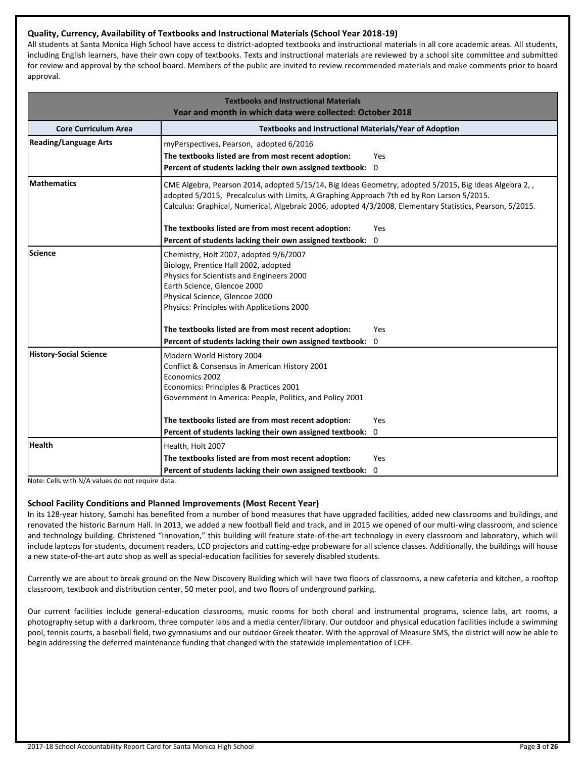## **Quality, Currency, Availability of Textbooks and Instructional Materials (School Year 2018-19)**

All students at Santa Monica High School have access to district-adopted textbooks and instructional materials in all core academic areas. All students, including English learners, have their own copy of textbooks. Texts and instructional materials are reviewed by a school site committee and submitted for review and approval by the school board. Members of the public are invited to review recommended materials and make comments prior to board approval.

| <b>Textbooks and Instructional Materials</b><br>Year and month in which data were collected: October 2018 |                                                                                                                                                                                                                                                                                                                                                                                                                                                           |  |
|-----------------------------------------------------------------------------------------------------------|-----------------------------------------------------------------------------------------------------------------------------------------------------------------------------------------------------------------------------------------------------------------------------------------------------------------------------------------------------------------------------------------------------------------------------------------------------------|--|
| <b>Core Curriculum Area</b>                                                                               | Textbooks and Instructional Materials/Year of Adoption                                                                                                                                                                                                                                                                                                                                                                                                    |  |
| <b>Reading/Language Arts</b>                                                                              | myPerspectives, Pearson, adopted 6/2016<br>The textbooks listed are from most recent adoption:<br>Yes<br>Percent of students lacking their own assigned textbook: 0                                                                                                                                                                                                                                                                                       |  |
| <b>Mathematics</b>                                                                                        | CME Algebra, Pearson 2014, adopted 5/15/14, Big Ideas Geometry, adopted 5/2015, Big Ideas Algebra 2, ,<br>adopted 5/2015, Precalculus with Limits, A Graphing Approach 7th ed by Ron Larson 5/2015.<br>Calculus: Graphical, Numerical, Algebraic 2006, adopted 4/3/2008, Elementary Statistics, Pearson, 5/2015.<br>The textbooks listed are from most recent adoption:<br>Yes<br>Percent of students lacking their own assigned textbook:<br>$\mathbf 0$ |  |
| <b>Science</b>                                                                                            | Chemistry, Holt 2007, adopted 9/6/2007<br>Biology, Prentice Hall 2002, adopted<br>Physics for Scientists and Engineers 2000<br>Earth Science, Glencoe 2000<br>Physical Science, Glencoe 2000<br>Physics: Principles with Applications 2000<br>The textbooks listed are from most recent adoption:<br>Yes                                                                                                                                                  |  |
| <b>History-Social Science</b>                                                                             | Percent of students lacking their own assigned textbook:<br>0<br>Modern World History 2004<br>Conflict & Consensus in American History 2001<br>Economics 2002<br>Economics: Principles & Practices 2001<br>Government in America: People, Politics, and Policy 2001<br>The textbooks listed are from most recent adoption:<br>Yes<br>Percent of students lacking their own assigned textbook: 0                                                           |  |
| <b>Health</b>                                                                                             | Health, Holt 2007<br>The textbooks listed are from most recent adoption:<br>Yes<br>Percent of students lacking their own assigned textbook:<br>0                                                                                                                                                                                                                                                                                                          |  |

Note: Cells with N/A values do not require data.

## **School Facility Conditions and Planned Improvements (Most Recent Year)**

In its 128-year history, Samohi has benefited from a number of bond measures that have upgraded facilities, added new classrooms and buildings, and renovated the historic Barnum Hall. In 2013, we added a new football field and track, and in 2015 we opened of our multi-wing classroom, and science and technology building. Christened "Innovation," this building will feature state-of-the-art technology in every classroom and laboratory, which will include laptops for students, document readers, LCD projectors and cutting-edge probeware for all science classes. Additionally, the buildings will house a new state-of-the-art auto shop as well as special-education facilities for severely disabled students.

Currently we are about to break ground on the New Discovery Building which will have two floors of classrooms, a new cafeteria and kitchen, a rooftop classroom, textbook and distribution center, 50 meter pool, and two floors of underground parking.

Our current facilities include general-education classrooms, music rooms for both choral and instrumental programs, science labs, art rooms, a photography setup with a darkroom, three computer labs and a media center/library. Our outdoor and physical education facilities include a swimming pool, tennis courts, a baseball field, two gymnasiums and our outdoor Greek theater. With the approval of Measure SMS, the district will now be able to begin addressing the deferred maintenance funding that changed with the statewide implementation of LCFF.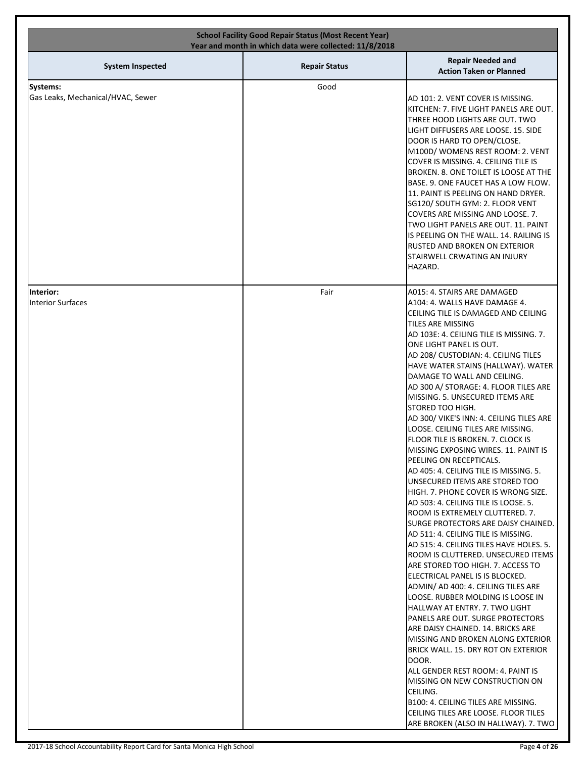| <b>School Facility Good Repair Status (Most Recent Year)</b><br>Year and month in which data were collected: 11/8/2018 |                      |                                                                                                                                                                                                                                                                                                                                                                                                                                                                                                                                                                                                                                                                                                                                                                                                                                                                                                                                                                                                                                                                                                                                                                                                                                                                                                                                                                                                                                                      |
|------------------------------------------------------------------------------------------------------------------------|----------------------|------------------------------------------------------------------------------------------------------------------------------------------------------------------------------------------------------------------------------------------------------------------------------------------------------------------------------------------------------------------------------------------------------------------------------------------------------------------------------------------------------------------------------------------------------------------------------------------------------------------------------------------------------------------------------------------------------------------------------------------------------------------------------------------------------------------------------------------------------------------------------------------------------------------------------------------------------------------------------------------------------------------------------------------------------------------------------------------------------------------------------------------------------------------------------------------------------------------------------------------------------------------------------------------------------------------------------------------------------------------------------------------------------------------------------------------------------|
| <b>System Inspected</b>                                                                                                | <b>Repair Status</b> | <b>Repair Needed and</b><br><b>Action Taken or Planned</b>                                                                                                                                                                                                                                                                                                                                                                                                                                                                                                                                                                                                                                                                                                                                                                                                                                                                                                                                                                                                                                                                                                                                                                                                                                                                                                                                                                                           |
| Systems:<br>Gas Leaks, Mechanical/HVAC, Sewer                                                                          | Good                 | AD 101: 2. VENT COVER IS MISSING.<br>KITCHEN: 7. FIVE LIGHT PANELS ARE OUT.<br>THREE HOOD LIGHTS ARE OUT. TWO<br>LIGHT DIFFUSERS ARE LOOSE, 15, SIDE<br>DOOR IS HARD TO OPEN/CLOSE.<br>M100D/WOMENS REST ROOM: 2. VENT<br>COVER IS MISSING. 4. CEILING TILE IS<br>BROKEN. 8. ONE TOILET IS LOOSE AT THE<br>BASE. 9. ONE FAUCET HAS A LOW FLOW.<br>11. PAINT IS PEELING ON HAND DRYER.<br>SG120/ SOUTH GYM: 2. FLOOR VENT<br>COVERS ARE MISSING AND LOOSE. 7.<br>TWO LIGHT PANELS ARE OUT. 11. PAINT<br>IS PEELING ON THE WALL. 14. RAILING IS<br>RUSTED AND BROKEN ON EXTERIOR<br>STAIRWELL CRWATING AN INJURY<br>HAZARD.                                                                                                                                                                                                                                                                                                                                                                                                                                                                                                                                                                                                                                                                                                                                                                                                                            |
| Interior:<br><b>Interior Surfaces</b>                                                                                  | Fair                 | A015: 4. STAIRS ARE DAMAGED<br>A104: 4. WALLS HAVE DAMAGE 4.<br>CEILING TILE IS DAMAGED AND CEILING<br><b>TILES ARE MISSING</b><br>AD 103E: 4. CEILING TILE IS MISSING. 7.<br>ONE LIGHT PANEL IS OUT.<br>AD 208/ CUSTODIAN: 4. CEILING TILES<br>HAVE WATER STAINS (HALLWAY). WATER<br>DAMAGE TO WALL AND CEILING.<br>AD 300 A/ STORAGE: 4. FLOOR TILES ARE<br>MISSING. 5. UNSECURED ITEMS ARE<br>STORED TOO HIGH.<br>AD 300/ VIKE'S INN: 4. CEILING TILES ARE<br>LOOSE. CEILING TILES ARE MISSING.<br>FLOOR TILE IS BROKEN. 7. CLOCK IS<br>MISSING EXPOSING WIRES. 11. PAINT IS<br>PEELING ON RECEPTICALS.<br>AD 405: 4. CEILING TILE IS MISSING. 5.<br>UNSECURED ITEMS ARE STORED TOO<br>HIGH. 7. PHONE COVER IS WRONG SIZE.<br>AD 503: 4. CEILING TILE IS LOOSE. 5.<br>ROOM IS EXTREMELY CLUTTERED. 7.<br>SURGE PROTECTORS ARE DAISY CHAINED.<br>AD 511: 4. CEILING TILE IS MISSING.<br>AD 515: 4. CEILING TILES HAVE HOLES. 5.<br>ROOM IS CLUTTERED. UNSECURED ITEMS<br>ARE STORED TOO HIGH. 7. ACCESS TO<br>ELECTRICAL PANEL IS IS BLOCKED.<br>ADMIN/AD 400: 4. CEILING TILES ARE<br>LOOSE. RUBBER MOLDING IS LOOSE IN<br>HALLWAY AT ENTRY. 7. TWO LIGHT<br>PANELS ARE OUT. SURGE PROTECTORS<br>ARE DAISY CHAINED. 14. BRICKS ARE<br>MISSING AND BROKEN ALONG EXTERIOR<br>BRICK WALL. 15. DRY ROT ON EXTERIOR<br>DOOR.<br>ALL GENDER REST ROOM: 4. PAINT IS<br>MISSING ON NEW CONSTRUCTION ON<br>CEILING.<br>B100: 4. CEILING TILES ARE MISSING. |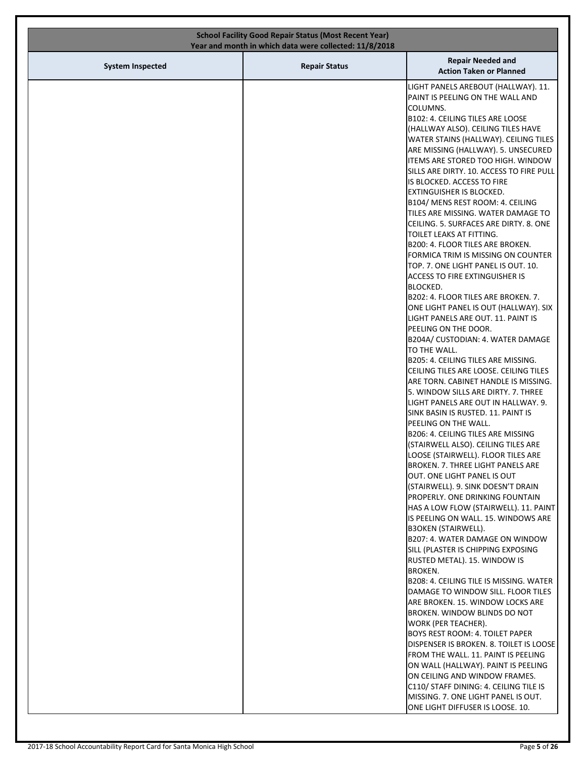| <b>School Facility Good Repair Status (Most Recent Year)</b><br>Year and month in which data were collected: 11/8/2018 |                      |                                                                                                                                                    |
|------------------------------------------------------------------------------------------------------------------------|----------------------|----------------------------------------------------------------------------------------------------------------------------------------------------|
| <b>System Inspected</b>                                                                                                | <b>Repair Status</b> | <b>Repair Needed and</b><br><b>Action Taken or Planned</b>                                                                                         |
|                                                                                                                        |                      | LIGHT PANELS AREBOUT (HALLWAY). 11.<br>PAINT IS PEELING ON THE WALL AND<br>COLUMNS.                                                                |
|                                                                                                                        |                      | B102: 4. CEILING TILES ARE LOOSE<br>(HALLWAY ALSO). CEILING TILES HAVE                                                                             |
|                                                                                                                        |                      | WATER STAINS (HALLWAY). CEILING TILES<br>ARE MISSING (HALLWAY). 5. UNSECURED<br>ITEMS ARE STORED TOO HIGH. WINDOW                                  |
|                                                                                                                        |                      | SILLS ARE DIRTY. 10. ACCESS TO FIRE PULL<br>IS BLOCKED. ACCESS TO FIRE<br><b>EXTINGUISHER IS BLOCKED.</b>                                          |
|                                                                                                                        |                      | B104/ MENS REST ROOM: 4. CEILING<br>TILES ARE MISSING. WATER DAMAGE TO<br>CEILING. 5. SURFACES ARE DIRTY. 8. ONE                                   |
|                                                                                                                        |                      | TOILET LEAKS AT FITTING.<br>B200: 4. FLOOR TILES ARE BROKEN.<br>FORMICA TRIM IS MISSING ON COUNTER                                                 |
|                                                                                                                        |                      | TOP. 7. ONE LIGHT PANEL IS OUT. 10.<br><b>ACCESS TO FIRE EXTINGUISHER IS</b><br><b>BLOCKED.</b>                                                    |
|                                                                                                                        |                      | B202: 4. FLOOR TILES ARE BROKEN. 7.<br>ONE LIGHT PANEL IS OUT (HALLWAY). SIX<br>LIGHT PANELS ARE OUT. 11. PAINT IS                                 |
|                                                                                                                        |                      | PEELING ON THE DOOR.<br>B204A/ CUSTODIAN: 4. WATER DAMAGE<br>TO THE WALL.                                                                          |
|                                                                                                                        |                      | B205: 4. CEILING TILES ARE MISSING.<br>CEILING TILES ARE LOOSE. CEILING TILES                                                                      |
|                                                                                                                        |                      | ARE TORN. CABINET HANDLE IS MISSING.<br>5. WINDOW SILLS ARE DIRTY. 7. THREE<br>LIGHT PANELS ARE OUT IN HALLWAY. 9.                                 |
|                                                                                                                        |                      | SINK BASIN IS RUSTED. 11. PAINT IS<br>PEELING ON THE WALL.<br>B206: 4. CEILING TILES ARE MISSING                                                   |
|                                                                                                                        |                      | (STAIRWELL ALSO). CEILING TILES ARE<br>LOOSE (STAIRWELL). FLOOR TILES ARE<br>BROKEN. 7. THREE LIGHT PANELS ARE                                     |
|                                                                                                                        |                      | OUT. ONE LIGHT PANEL IS OUT<br>(STAIRWELL). 9. SINK DOESN'T DRAIN                                                                                  |
|                                                                                                                        |                      | PROPERLY. ONE DRINKING FOUNTAIN<br>HAS A LOW FLOW (STAIRWELL). 11. PAINT<br>IS PEELING ON WALL. 15. WINDOWS ARE                                    |
|                                                                                                                        |                      | <b>B3OKEN (STAIRWELL).</b><br>B207: 4. WATER DAMAGE ON WINDOW<br>SILL (PLASTER IS CHIPPING EXPOSING                                                |
|                                                                                                                        |                      | RUSTED METAL). 15. WINDOW IS<br><b>BROKEN.</b>                                                                                                     |
|                                                                                                                        |                      | B208: 4. CEILING TILE IS MISSING. WATER<br>DAMAGE TO WINDOW SILL. FLOOR TILES<br>ARE BROKEN. 15. WINDOW LOCKS ARE<br>BROKEN. WINDOW BLINDS DO NOT  |
|                                                                                                                        |                      | <b>WORK (PER TEACHER).</b><br>BOYS REST ROOM: 4. TOILET PAPER<br>DISPENSER IS BROKEN. 8. TOILET IS LOOSE                                           |
|                                                                                                                        |                      | FROM THE WALL. 11. PAINT IS PEELING<br>ON WALL (HALLWAY). PAINT IS PEELING                                                                         |
|                                                                                                                        |                      | ON CEILING AND WINDOW FRAMES.<br>C110/ STAFF DINING: 4. CEILING TILE IS<br>MISSING. 7. ONE LIGHT PANEL IS OUT.<br>ONE LIGHT DIFFUSER IS LOOSE. 10. |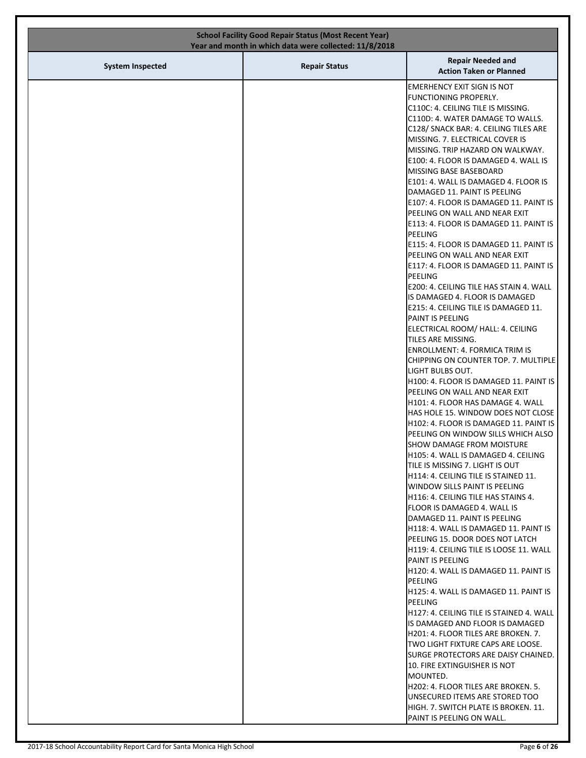|                         | Year and month in which data were collected: 11/8/2018 |                                                                              |
|-------------------------|--------------------------------------------------------|------------------------------------------------------------------------------|
| <b>System Inspected</b> | <b>Repair Status</b>                                   | <b>Repair Needed and</b><br><b>Action Taken or Planned</b>                   |
|                         |                                                        | <b>EMERHENCY EXIT SIGN IS NOT</b>                                            |
|                         |                                                        | FUNCTIONING PROPERLY.                                                        |
|                         |                                                        | C110C: 4. CEILING TILE IS MISSING.                                           |
|                         |                                                        | C110D: 4. WATER DAMAGE TO WALLS.                                             |
|                         |                                                        | C128/ SNACK BAR: 4. CEILING TILES ARE<br>MISSING. 7. ELECTRICAL COVER IS     |
|                         |                                                        | MISSING. TRIP HAZARD ON WALKWAY.                                             |
|                         |                                                        | E100: 4. FLOOR IS DAMAGED 4. WALL IS                                         |
|                         |                                                        | MISSING BASE BASEBOARD                                                       |
|                         |                                                        | E101: 4. WALL IS DAMAGED 4. FLOOR IS                                         |
|                         |                                                        | DAMAGED 11. PAINT IS PEELING                                                 |
|                         |                                                        | E107: 4. FLOOR IS DAMAGED 11. PAINT IS                                       |
|                         |                                                        | PEELING ON WALL AND NEAR EXIT                                                |
|                         |                                                        | E113: 4. FLOOR IS DAMAGED 11. PAINT IS                                       |
|                         |                                                        | PEELING<br>E115: 4. FLOOR IS DAMAGED 11. PAINT IS                            |
|                         |                                                        | PEELING ON WALL AND NEAR EXIT                                                |
|                         |                                                        | E117: 4. FLOOR IS DAMAGED 11. PAINT IS                                       |
|                         |                                                        | <b>PEELING</b>                                                               |
|                         |                                                        | E200: 4. CEILING TILE HAS STAIN 4. WALL                                      |
|                         |                                                        | IS DAMAGED 4. FLOOR IS DAMAGED                                               |
|                         |                                                        | E215: 4. CEILING TILE IS DAMAGED 11.                                         |
|                         |                                                        | PAINT IS PEELING                                                             |
|                         |                                                        | ELECTRICAL ROOM/ HALL: 4. CEILING<br>TILES ARE MISSING.                      |
|                         |                                                        | ENROLLMENT: 4. FORMICA TRIM IS                                               |
|                         |                                                        | CHIPPING ON COUNTER TOP. 7. MULTIPLE                                         |
|                         |                                                        | LIGHT BULBS OUT.                                                             |
|                         |                                                        | H100: 4. FLOOR IS DAMAGED 11. PAINT IS                                       |
|                         |                                                        | PEELING ON WALL AND NEAR EXIT                                                |
|                         |                                                        | H101: 4. FLOOR HAS DAMAGE 4. WALL                                            |
|                         |                                                        | HAS HOLE 15. WINDOW DOES NOT CLOSE                                           |
|                         |                                                        | H102: 4. FLOOR IS DAMAGED 11. PAINT IS<br>PEELING ON WINDOW SILLS WHICH ALSO |
|                         |                                                        | SHOW DAMAGE FROM MOISTURE                                                    |
|                         |                                                        | H105: 4. WALL IS DAMAGED 4. CEILING                                          |
|                         |                                                        | TILE IS MISSING 7. LIGHT IS OUT                                              |
|                         |                                                        | H114: 4. CEILING TILE IS STAINED 11.                                         |
|                         |                                                        | WINDOW SILLS PAINT IS PEELING                                                |
|                         |                                                        | H116: 4. CEILING TILE HAS STAINS 4.                                          |
|                         |                                                        | FLOOR IS DAMAGED 4. WALL IS                                                  |
|                         |                                                        | DAMAGED 11. PAINT IS PEELING                                                 |
|                         |                                                        | H118: 4. WALL IS DAMAGED 11. PAINT IS<br>PEELING 15. DOOR DOES NOT LATCH     |
|                         |                                                        | H119: 4. CEILING TILE IS LOOSE 11. WALL                                      |
|                         |                                                        | PAINT IS PEELING                                                             |
|                         |                                                        | H120: 4. WALL IS DAMAGED 11. PAINT IS                                        |
|                         |                                                        | PEELING                                                                      |
|                         |                                                        | H125: 4. WALL IS DAMAGED 11. PAINT IS                                        |
|                         |                                                        | PEELING                                                                      |
|                         |                                                        | H127: 4. CEILING TILE IS STAINED 4. WALL                                     |
|                         |                                                        | IS DAMAGED AND FLOOR IS DAMAGED<br>H201: 4. FLOOR TILES ARE BROKEN. 7.       |
|                         |                                                        | TWO LIGHT FIXTURE CAPS ARE LOOSE.                                            |
|                         |                                                        | SURGE PROTECTORS ARE DAISY CHAINED.                                          |
|                         |                                                        | 10. FIRE EXTINGUISHER IS NOT                                                 |
|                         |                                                        | MOUNTED.                                                                     |
|                         |                                                        | H202: 4. FLOOR TILES ARE BROKEN. 5.                                          |
|                         |                                                        | UNSECURED ITEMS ARE STORED TOO                                               |
|                         |                                                        | HIGH. 7. SWITCH PLATE IS BROKEN. 11.                                         |
|                         |                                                        | PAINT IS PEELING ON WALL.                                                    |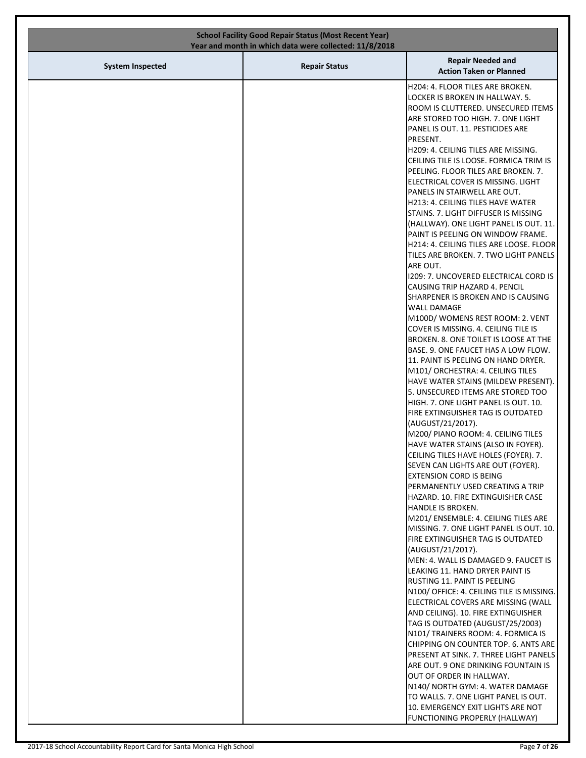| Year and month in which data were collected: 11/8/2018 |                      |                                                                          |
|--------------------------------------------------------|----------------------|--------------------------------------------------------------------------|
| <b>System Inspected</b>                                | <b>Repair Status</b> | <b>Repair Needed and</b><br><b>Action Taken or Planned</b>               |
|                                                        |                      | H204: 4. FLOOR TILES ARE BROKEN.                                         |
|                                                        |                      | LOCKER IS BROKEN IN HALLWAY. 5.                                          |
|                                                        |                      | ROOM IS CLUTTERED. UNSECURED ITEMS                                       |
|                                                        |                      | ARE STORED TOO HIGH. 7. ONE LIGHT                                        |
|                                                        |                      | PANEL IS OUT. 11. PESTICIDES ARE                                         |
|                                                        |                      | PRESENT.<br>H209: 4. CEILING TILES ARE MISSING.                          |
|                                                        |                      | CEILING TILE IS LOOSE. FORMICA TRIM IS                                   |
|                                                        |                      | PEELING. FLOOR TILES ARE BROKEN. 7.                                      |
|                                                        |                      | ELECTRICAL COVER IS MISSING. LIGHT                                       |
|                                                        |                      | PANELS IN STAIRWELL ARE OUT.                                             |
|                                                        |                      | H213: 4. CEILING TILES HAVE WATER                                        |
|                                                        |                      | STAINS. 7. LIGHT DIFFUSER IS MISSING                                     |
|                                                        |                      | (HALLWAY). ONE LIGHT PANEL IS OUT. 11.                                   |
|                                                        |                      | PAINT IS PEELING ON WINDOW FRAME.                                        |
|                                                        |                      | H214: 4. CEILING TILES ARE LOOSE. FLOOR                                  |
|                                                        |                      | TILES ARE BROKEN. 7. TWO LIGHT PANELS                                    |
|                                                        |                      | ARE OUT.                                                                 |
|                                                        |                      | 1209: 7. UNCOVERED ELECTRICAL CORD IS                                    |
|                                                        |                      | CAUSING TRIP HAZARD 4. PENCIL                                            |
|                                                        |                      | SHARPENER IS BROKEN AND IS CAUSING                                       |
|                                                        |                      | <b>WALL DAMAGE</b>                                                       |
|                                                        |                      | M100D/WOMENS REST ROOM: 2. VENT                                          |
|                                                        |                      | COVER IS MISSING. 4. CEILING TILE IS                                     |
|                                                        |                      | BROKEN. 8. ONE TOILET IS LOOSE AT THE                                    |
|                                                        |                      | BASE. 9. ONE FAUCET HAS A LOW FLOW.                                      |
|                                                        |                      | 11. PAINT IS PEELING ON HAND DRYER.                                      |
|                                                        |                      | M101/ ORCHESTRA: 4. CEILING TILES<br>HAVE WATER STAINS (MILDEW PRESENT). |
|                                                        |                      | 5. UNSECURED ITEMS ARE STORED TOO                                        |
|                                                        |                      | HIGH. 7. ONE LIGHT PANEL IS OUT. 10.                                     |
|                                                        |                      | <b>FIRE EXTINGUISHER TAG IS OUTDATED</b>                                 |
|                                                        |                      | (AUGUST/21/2017).                                                        |
|                                                        |                      | M200/ PIANO ROOM: 4. CEILING TILES                                       |
|                                                        |                      | HAVE WATER STAINS (ALSO IN FOYER).                                       |
|                                                        |                      | CEILING TILES HAVE HOLES (FOYER). 7.                                     |
|                                                        |                      | SEVEN CAN LIGHTS ARE OUT (FOYER).                                        |
|                                                        |                      | <b>EXTENSION CORD IS BEING</b>                                           |
|                                                        |                      | PERMANENTLY USED CREATING A TRIP                                         |
|                                                        |                      | HAZARD. 10. FIRE EXTINGUISHER CASE                                       |
|                                                        |                      | HANDLE IS BROKEN.                                                        |
|                                                        |                      | M201/ENSEMBLE: 4. CEILING TILES ARE                                      |
|                                                        |                      | MISSING. 7. ONE LIGHT PANEL IS OUT. 10.                                  |
|                                                        |                      | <b>FIRE EXTINGUISHER TAG IS OUTDATED</b><br>(AUGUST/21/2017).            |
|                                                        |                      | MEN: 4. WALL IS DAMAGED 9. FAUCET IS                                     |
|                                                        |                      | LEAKING 11. HAND DRYER PAINT IS                                          |
|                                                        |                      | RUSTING 11. PAINT IS PEELING                                             |
|                                                        |                      | N100/OFFICE: 4. CEILING TILE IS MISSING.                                 |
|                                                        |                      | ELECTRICAL COVERS ARE MISSING (WALL                                      |
|                                                        |                      | AND CEILING). 10. FIRE EXTINGUISHER                                      |
|                                                        |                      | TAG IS OUTDATED (AUGUST/25/2003)                                         |
|                                                        |                      | N101/ TRAINERS ROOM: 4. FORMICA IS                                       |
|                                                        |                      | CHIPPING ON COUNTER TOP. 6. ANTS ARE                                     |
|                                                        |                      | PRESENT AT SINK. 7. THREE LIGHT PANELS                                   |
|                                                        |                      | ARE OUT. 9 ONE DRINKING FOUNTAIN IS                                      |
|                                                        |                      | OUT OF ORDER IN HALLWAY.                                                 |
|                                                        |                      | N140/ NORTH GYM: 4. WATER DAMAGE                                         |
|                                                        |                      | TO WALLS. 7. ONE LIGHT PANEL IS OUT.                                     |
|                                                        |                      | 10. EMERGENCY EXIT LIGHTS ARE NOT<br>FUNCTIONING PROPERLY (HALLWAY)      |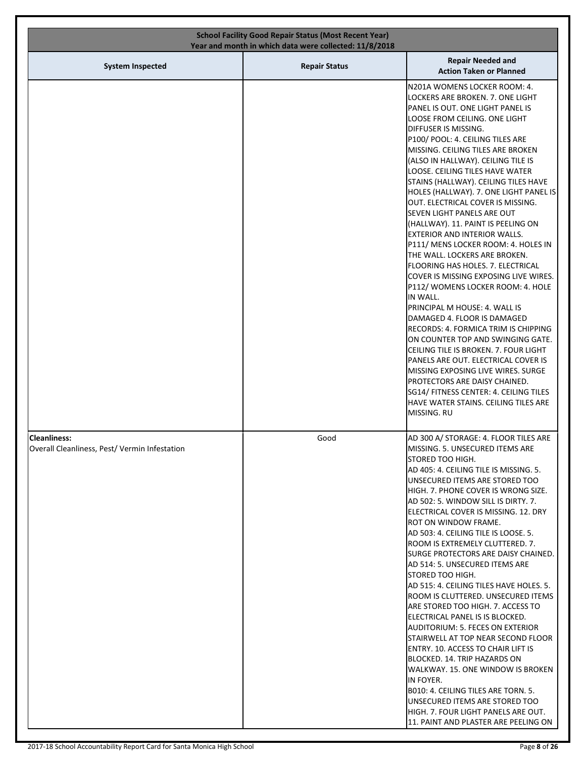| <b>School Facility Good Repair Status (Most Recent Year)</b><br>Year and month in which data were collected: 11/8/2018 |                      |                                                                                                                                                                                                                                                                                                                                                                                                                                                                                                                                                                                                                                                                                                                                                                                                                                                                                                                                                                                                                                                                                                                                                               |
|------------------------------------------------------------------------------------------------------------------------|----------------------|---------------------------------------------------------------------------------------------------------------------------------------------------------------------------------------------------------------------------------------------------------------------------------------------------------------------------------------------------------------------------------------------------------------------------------------------------------------------------------------------------------------------------------------------------------------------------------------------------------------------------------------------------------------------------------------------------------------------------------------------------------------------------------------------------------------------------------------------------------------------------------------------------------------------------------------------------------------------------------------------------------------------------------------------------------------------------------------------------------------------------------------------------------------|
| <b>System Inspected</b>                                                                                                | <b>Repair Status</b> | <b>Repair Needed and</b><br><b>Action Taken or Planned</b>                                                                                                                                                                                                                                                                                                                                                                                                                                                                                                                                                                                                                                                                                                                                                                                                                                                                                                                                                                                                                                                                                                    |
|                                                                                                                        |                      | N201A WOMENS LOCKER ROOM: 4.<br>LOCKERS ARE BROKEN. 7. ONE LIGHT<br>PANEL IS OUT. ONE LIGHT PANEL IS<br>LOOSE FROM CEILING. ONE LIGHT<br>DIFFUSER IS MISSING.<br>P100/ POOL: 4. CEILING TILES ARE<br>MISSING. CEILING TILES ARE BROKEN<br>(ALSO IN HALLWAY). CEILING TILE IS<br>LOOSE. CEILING TILES HAVE WATER<br>STAINS (HALLWAY). CEILING TILES HAVE<br>HOLES (HALLWAY). 7. ONE LIGHT PANEL IS<br>OUT. ELECTRICAL COVER IS MISSING.<br>SEVEN LIGHT PANELS ARE OUT<br>(HALLWAY). 11. PAINT IS PEELING ON<br><b>EXTERIOR AND INTERIOR WALLS.</b><br>P111/ MENS LOCKER ROOM: 4. HOLES IN<br>THE WALL. LOCKERS ARE BROKEN.<br>FLOORING HAS HOLES. 7. ELECTRICAL<br>COVER IS MISSING EXPOSING LIVE WIRES.<br>P112/ WOMENS LOCKER ROOM: 4. HOLE<br>IN WALL.<br>PRINCIPAL M HOUSE: 4. WALL IS<br>DAMAGED 4. FLOOR IS DAMAGED<br>RECORDS: 4. FORMICA TRIM IS CHIPPING<br>ON COUNTER TOP AND SWINGING GATE.<br>CEILING TILE IS BROKEN. 7. FOUR LIGHT<br>PANELS ARE OUT. ELECTRICAL COVER IS<br>MISSING EXPOSING LIVE WIRES. SURGE<br>PROTECTORS ARE DAISY CHAINED.<br>SG14/ FITNESS CENTER: 4. CEILING TILES<br>HAVE WATER STAINS. CEILING TILES ARE<br>MISSING, RU |
| <b>Cleanliness:</b><br>Overall Cleanliness, Pest/Vermin Infestation                                                    | Good                 | AD 300 A/ STORAGE: 4. FLOOR TILES ARE<br>MISSING. 5. UNSECURED ITEMS ARE<br>ISTORED TOO HIGH.<br>AD 405: 4. CEILING TILE IS MISSING. 5.<br>UNSECURED ITEMS ARE STORED TOO<br>HIGH. 7. PHONE COVER IS WRONG SIZE.<br>AD 502: 5. WINDOW SILL IS DIRTY. 7.<br>ELECTRICAL COVER IS MISSING. 12. DRY<br>ROT ON WINDOW FRAME.<br>AD 503: 4. CEILING TILE IS LOOSE. 5.<br>ROOM IS EXTREMELY CLUTTERED. 7.<br>SURGE PROTECTORS ARE DAISY CHAINED.<br>AD 514: 5. UNSECURED ITEMS ARE<br>ISTORED TOO HIGH.<br>AD 515: 4. CEILING TILES HAVE HOLES. 5.<br>ROOM IS CLUTTERED. UNSECURED ITEMS<br>ARE STORED TOO HIGH. 7. ACCESS TO<br>ELECTRICAL PANEL IS IS BLOCKED.<br>AUDITORIUM: 5. FECES ON EXTERIOR<br>STAIRWELL AT TOP NEAR SECOND FLOOR<br>ENTRY. 10. ACCESS TO CHAIR LIFT IS<br>BLOCKED. 14. TRIP HAZARDS ON<br>WALKWAY. 15. ONE WINDOW IS BROKEN<br>IN FOYER.<br>B010: 4. CEILING TILES ARE TORN. 5.<br>UNSECURED ITEMS ARE STORED TOO<br>HIGH. 7. FOUR LIGHT PANELS ARE OUT.                                                                                                                                                                                   |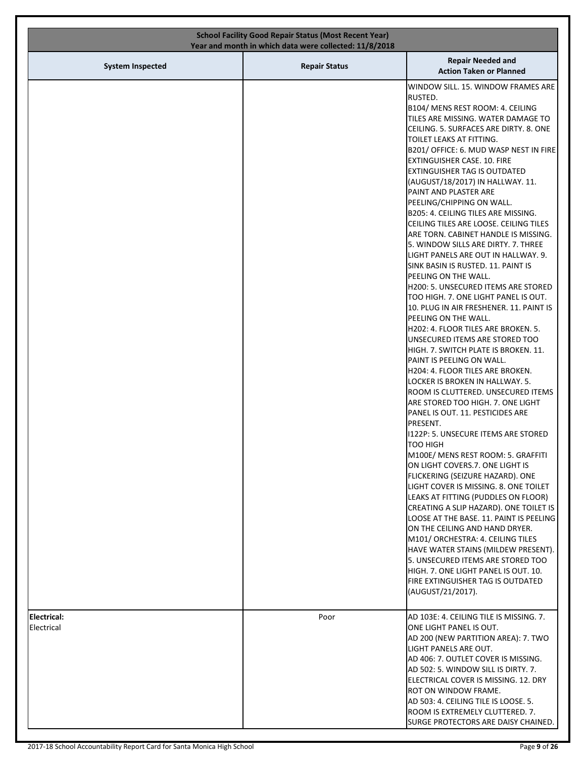|                                  | <b>School Facility Good Repair Status (Most Recent Year)</b><br>Year and month in which data were collected: 11/8/2018 |                                                                                                                                                                                                                                                                                                                                                                                                                                                                                                                                                                                                                                                                                                                                                                                                                                                                                                                                                                                                                                                                                                                                                                                                                                                                                                                                                                                                                                                                                                                                                                                                                                                                                                                                                                                 |
|----------------------------------|------------------------------------------------------------------------------------------------------------------------|---------------------------------------------------------------------------------------------------------------------------------------------------------------------------------------------------------------------------------------------------------------------------------------------------------------------------------------------------------------------------------------------------------------------------------------------------------------------------------------------------------------------------------------------------------------------------------------------------------------------------------------------------------------------------------------------------------------------------------------------------------------------------------------------------------------------------------------------------------------------------------------------------------------------------------------------------------------------------------------------------------------------------------------------------------------------------------------------------------------------------------------------------------------------------------------------------------------------------------------------------------------------------------------------------------------------------------------------------------------------------------------------------------------------------------------------------------------------------------------------------------------------------------------------------------------------------------------------------------------------------------------------------------------------------------------------------------------------------------------------------------------------------------|
| <b>System Inspected</b>          | <b>Repair Status</b>                                                                                                   | <b>Repair Needed and</b><br><b>Action Taken or Planned</b>                                                                                                                                                                                                                                                                                                                                                                                                                                                                                                                                                                                                                                                                                                                                                                                                                                                                                                                                                                                                                                                                                                                                                                                                                                                                                                                                                                                                                                                                                                                                                                                                                                                                                                                      |
|                                  |                                                                                                                        | WINDOW SILL. 15. WINDOW FRAMES ARE<br>RUSTED.<br>B104/ MENS REST ROOM: 4. CEILING<br>TILES ARE MISSING. WATER DAMAGE TO<br>CEILING. 5. SURFACES ARE DIRTY, 8. ONE<br>TOILET LEAKS AT FITTING.<br>B201/OFFICE: 6. MUD WASP NEST IN FIRE<br><b>EXTINGUISHER CASE. 10. FIRE</b><br><b>EXTINGUISHER TAG IS OUTDATED</b><br>(AUGUST/18/2017) IN HALLWAY. 11.<br>PAINT AND PLASTER ARE<br>PEELING/CHIPPING ON WALL.<br>B205: 4. CEILING TILES ARE MISSING.<br>CEILING TILES ARE LOOSE. CEILING TILES<br>ARE TORN. CABINET HANDLE IS MISSING.<br>5. WINDOW SILLS ARE DIRTY. 7. THREE<br>LIGHT PANELS ARE OUT IN HALLWAY. 9.<br>SINK BASIN IS RUSTED. 11. PAINT IS<br>PEELING ON THE WALL.<br>H200: 5. UNSECURED ITEMS ARE STORED<br>TOO HIGH. 7. ONE LIGHT PANEL IS OUT.<br>10. PLUG IN AIR FRESHENER. 11. PAINT IS<br>PEELING ON THE WALL.<br>H202: 4. FLOOR TILES ARE BROKEN. 5.<br>UNSECURED ITEMS ARE STORED TOO<br>HIGH. 7. SWITCH PLATE IS BROKEN. 11.<br>PAINT IS PEELING ON WALL.<br>H204: 4. FLOOR TILES ARE BROKEN.<br>LOCKER IS BROKEN IN HALLWAY. 5.<br>ROOM IS CLUTTERED. UNSECURED ITEMS<br>ARE STORED TOO HIGH. 7. ONE LIGHT<br>PANEL IS OUT. 11. PESTICIDES ARE<br>PRESENT.<br>1122P: 5. UNSECURE ITEMS ARE STORED<br>ITOO HIGH<br>M100E/ MENS REST ROOM: 5. GRAFFITI<br>ON LIGHT COVERS.7. ONE LIGHT IS<br>FLICKERING (SEIZURE HAZARD). ONE<br>LIGHT COVER IS MISSING. 8. ONE TOILET<br>LEAKS AT FITTING (PUDDLES ON FLOOR)<br>CREATING A SLIP HAZARD). ONE TOILET IS<br>LOOSE AT THE BASE. 11. PAINT IS PEELING<br>ON THE CEILING AND HAND DRYER.<br>M101/ ORCHESTRA: 4. CEILING TILES<br>HAVE WATER STAINS (MILDEW PRESENT).<br>5. UNSECURED ITEMS ARE STORED TOO<br>HIGH. 7. ONE LIGHT PANEL IS OUT. 10.<br>FIRE EXTINGUISHER TAG IS OUTDATED<br>(AUGUST/21/2017). |
| <b>Electrical:</b><br>Electrical | Poor                                                                                                                   | AD 103E: 4. CEILING TILE IS MISSING. 7.<br>ONE LIGHT PANEL IS OUT.<br>AD 200 (NEW PARTITION AREA): 7. TWO<br>LIGHT PANELS ARE OUT.<br>AD 406: 7. OUTLET COVER IS MISSING.<br>AD 502: 5. WINDOW SILL IS DIRTY. 7.<br>ELECTRICAL COVER IS MISSING. 12. DRY<br>ROT ON WINDOW FRAME.                                                                                                                                                                                                                                                                                                                                                                                                                                                                                                                                                                                                                                                                                                                                                                                                                                                                                                                                                                                                                                                                                                                                                                                                                                                                                                                                                                                                                                                                                                |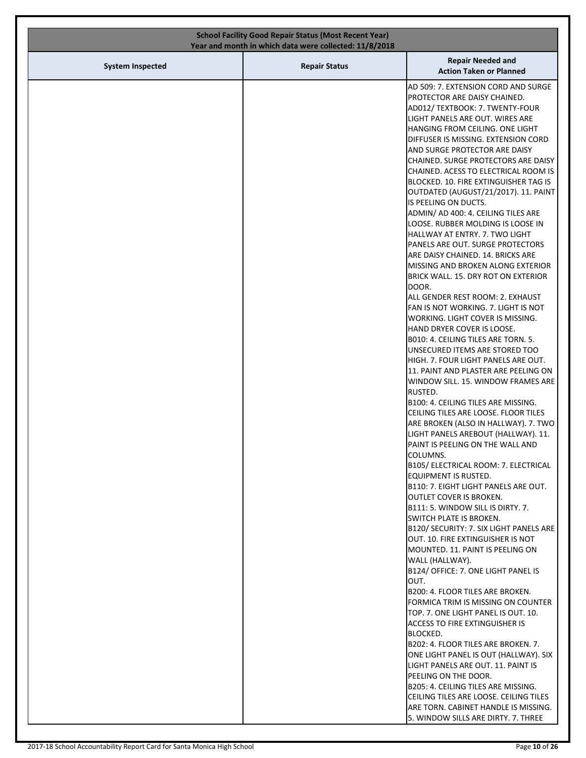| <b>System Inspected</b> | <b>Repair Status</b> | <b>Repair Needed and</b>                                            |
|-------------------------|----------------------|---------------------------------------------------------------------|
|                         |                      | <b>Action Taken or Planned</b>                                      |
|                         |                      | AD 509: 7. EXTENSION CORD AND SURGE<br>PROTECTOR ARE DAISY CHAINED. |
|                         |                      | AD012/ TEXTBOOK: 7. TWENTY-FOUR                                     |
|                         |                      | LIGHT PANELS ARE OUT. WIRES ARE                                     |
|                         |                      | HANGING FROM CEILING. ONE LIGHT                                     |
|                         |                      | DIFFUSER IS MISSING. EXTENSION CORD                                 |
|                         |                      | AND SURGE PROTECTOR ARE DAISY                                       |
|                         |                      | CHAINED. SURGE PROTECTORS ARE DAISY                                 |
|                         |                      | CHAINED. ACESS TO ELECTRICAL ROOM IS                                |
|                         |                      | BLOCKED. 10. FIRE EXTINGUISHER TAG IS                               |
|                         |                      | OUTDATED (AUGUST/21/2017). 11. PAINT                                |
|                         |                      | IS PEELING ON DUCTS.                                                |
|                         |                      | ADMIN/ AD 400: 4. CEILING TILES ARE                                 |
|                         |                      | LOOSE, RUBBER MOLDING IS LOOSE IN                                   |
|                         |                      | HALLWAY AT ENTRY. 7. TWO LIGHT<br>PANELS ARE OUT. SURGE PROTECTORS  |
|                         |                      | ARE DAISY CHAINED. 14. BRICKS ARE                                   |
|                         |                      | MISSING AND BROKEN ALONG EXTERIOR                                   |
|                         |                      | BRICK WALL. 15. DRY ROT ON EXTERIOR                                 |
|                         |                      | DOOR.                                                               |
|                         |                      | ALL GENDER REST ROOM: 2. EXHAUST                                    |
|                         |                      | FAN IS NOT WORKING. 7. LIGHT IS NOT                                 |
|                         |                      | WORKING. LIGHT COVER IS MISSING.                                    |
|                         |                      | HAND DRYER COVER IS LOOSE.                                          |
|                         |                      | B010: 4. CEILING TILES ARE TORN. 5.                                 |
|                         |                      | UNSECURED ITEMS ARE STORED TOO                                      |
|                         |                      | HIGH. 7. FOUR LIGHT PANELS ARE OUT.                                 |
|                         |                      | 11. PAINT AND PLASTER ARE PEELING ON                                |
|                         |                      | WINDOW SILL. 15. WINDOW FRAMES ARE<br>RUSTED.                       |
|                         |                      | B100: 4. CEILING TILES ARE MISSING.                                 |
|                         |                      | CEILING TILES ARE LOOSE. FLOOR TILES                                |
|                         |                      | ARE BROKEN (ALSO IN HALLWAY). 7. TWO                                |
|                         |                      | LIGHT PANELS AREBOUT (HALLWAY). 11.                                 |
|                         |                      | PAINT IS PEELING ON THE WALL AND                                    |
|                         |                      | COLUMNS.                                                            |
|                         |                      | B105/ ELECTRICAL ROOM: 7. ELECTRICAL                                |
|                         |                      | EQUIPMENT IS RUSTED.                                                |
|                         |                      | B110: 7. EIGHT LIGHT PANELS ARE OUT.                                |
|                         |                      | <b>OUTLET COVER IS BROKEN.</b>                                      |
|                         |                      | B111: 5. WINDOW SILL IS DIRTY. 7.<br>SWITCH PLATE IS BROKEN.        |
|                         |                      | B120/ SECURITY: 7. SIX LIGHT PANELS ARE                             |
|                         |                      | <b>JOUT. 10. FIRE EXTINGUISHER IS NOT</b>                           |
|                         |                      | MOUNTED. 11. PAINT IS PEELING ON                                    |
|                         |                      | WALL (HALLWAY).                                                     |
|                         |                      | B124/ OFFICE: 7. ONE LIGHT PANEL IS                                 |
|                         |                      | OUT.                                                                |
|                         |                      | B200: 4. FLOOR TILES ARE BROKEN.                                    |
|                         |                      | FORMICA TRIM IS MISSING ON COUNTER                                  |
|                         |                      | TOP. 7. ONE LIGHT PANEL IS OUT. 10.                                 |
|                         |                      | <b>ACCESS TO FIRE EXTINGUISHER IS</b><br><b>BLOCKED.</b>            |
|                         |                      | B202: 4. FLOOR TILES ARE BROKEN. 7.                                 |
|                         |                      | ONE LIGHT PANEL IS OUT (HALLWAY). SIX                               |
|                         |                      | LIGHT PANELS ARE OUT. 11. PAINT IS                                  |
|                         |                      | PEELING ON THE DOOR.                                                |
|                         |                      | B205: 4. CEILING TILES ARE MISSING.                                 |
|                         |                      | CEILING TILES ARE LOOSE. CEILING TILES                              |
|                         |                      | ARE TORN. CABINET HANDLE IS MISSING.                                |
|                         |                      | 5. WINDOW SILLS ARE DIRTY. 7. THREE                                 |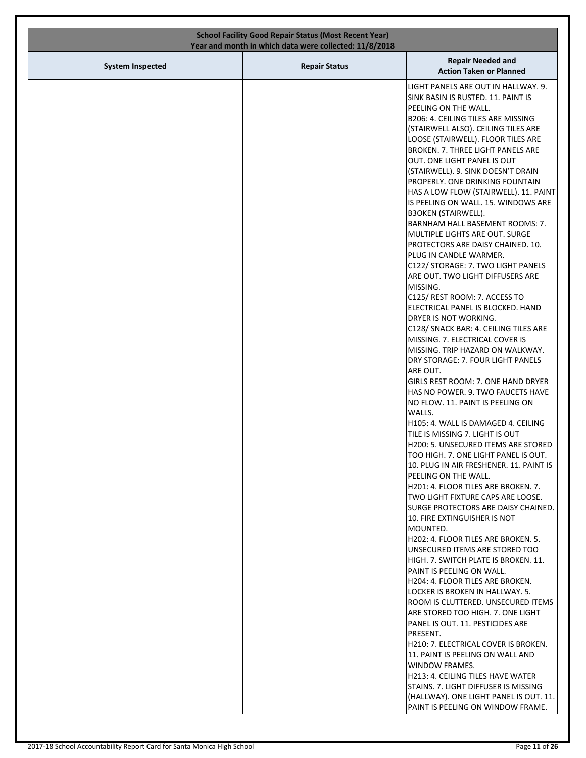| <b>School Facility Good Repair Status (Most Recent Year)</b><br>Year and month in which data were collected: 11/8/2018 |                      |                                                                                                                                                                                                                                                                                                                                                                                                                                                                                                                                                                                                                                                                                                                                                                                                                                                                                                                                                                                                                                                                                                                                                                                                                                                                                                              |  |  |
|------------------------------------------------------------------------------------------------------------------------|----------------------|--------------------------------------------------------------------------------------------------------------------------------------------------------------------------------------------------------------------------------------------------------------------------------------------------------------------------------------------------------------------------------------------------------------------------------------------------------------------------------------------------------------------------------------------------------------------------------------------------------------------------------------------------------------------------------------------------------------------------------------------------------------------------------------------------------------------------------------------------------------------------------------------------------------------------------------------------------------------------------------------------------------------------------------------------------------------------------------------------------------------------------------------------------------------------------------------------------------------------------------------------------------------------------------------------------------|--|--|
| <b>System Inspected</b>                                                                                                | <b>Repair Status</b> | <b>Repair Needed and</b><br><b>Action Taken or Planned</b>                                                                                                                                                                                                                                                                                                                                                                                                                                                                                                                                                                                                                                                                                                                                                                                                                                                                                                                                                                                                                                                                                                                                                                                                                                                   |  |  |
|                                                                                                                        |                      | LIGHT PANELS ARE OUT IN HALLWAY. 9.<br>SINK BASIN IS RUSTED. 11. PAINT IS<br>PEELING ON THE WALL.<br>B206: 4. CEILING TILES ARE MISSING<br>(STAIRWELL ALSO). CEILING TILES ARE<br>LOOSE (STAIRWELL). FLOOR TILES ARE<br>BROKEN. 7. THREE LIGHT PANELS ARE<br>OUT. ONE LIGHT PANEL IS OUT<br>(STAIRWELL). 9. SINK DOESN'T DRAIN<br>PROPERLY. ONE DRINKING FOUNTAIN<br>HAS A LOW FLOW (STAIRWELL). 11. PAINT<br>IS PEELING ON WALL. 15. WINDOWS ARE<br><b>B3OKEN (STAIRWELL).</b><br><b>BARNHAM HALL BASEMENT ROOMS: 7.</b><br>MULTIPLE LIGHTS ARE OUT. SURGE<br>PROTECTORS ARE DAISY CHAINED. 10.<br>PLUG IN CANDLE WARMER.<br>C122/ STORAGE: 7. TWO LIGHT PANELS<br>ARE OUT. TWO LIGHT DIFFUSERS ARE<br>MISSING.<br>C125/REST ROOM: 7. ACCESS TO<br>ELECTRICAL PANEL IS BLOCKED. HAND<br>DRYER IS NOT WORKING.<br>C128/ SNACK BAR: 4. CEILING TILES ARE<br>MISSING. 7. ELECTRICAL COVER IS<br>MISSING. TRIP HAZARD ON WALKWAY.<br>DRY STORAGE: 7. FOUR LIGHT PANELS<br>ARE OUT.<br>GIRLS REST ROOM: 7. ONE HAND DRYER<br>HAS NO POWER, 9. TWO FAUCETS HAVE<br>NO FLOW. 11. PAINT IS PEELING ON<br>WALLS.<br>H105: 4. WALL IS DAMAGED 4. CEILING<br>TILE IS MISSING 7. LIGHT IS OUT<br>H200: 5. UNSECURED ITEMS ARE STORED<br>TOO HIGH. 7. ONE LIGHT PANEL IS OUT.<br>10. PLUG IN AIR FRESHENER. 11. PAINT IS |  |  |
|                                                                                                                        |                      | H201: 4. FLOOR TILES ARE BROKEN. 7.<br>TWO LIGHT FIXTURE CAPS ARE LOOSE.<br>SURGE PROTECTORS ARE DAISY CHAINED.<br>10. FIRE EXTINGUISHER IS NOT<br>MOUNTED.<br>H202: 4. FLOOR TILES ARE BROKEN. 5.<br>UNSECURED ITEMS ARE STORED TOO<br>HIGH. 7. SWITCH PLATE IS BROKEN. 11.<br>PAINT IS PEELING ON WALL.<br>H204: 4. FLOOR TILES ARE BROKEN.<br>LOCKER IS BROKEN IN HALLWAY. 5.<br>ROOM IS CLUTTERED. UNSECURED ITEMS<br>ARE STORED TOO HIGH. 7. ONE LIGHT<br>PANEL IS OUT. 11. PESTICIDES ARE<br>PRESENT.<br>H210: 7. ELECTRICAL COVER IS BROKEN.<br>11. PAINT IS PEELING ON WALL AND<br><b>WINDOW FRAMES.</b><br>H213: 4. CEILING TILES HAVE WATER<br>STAINS. 7. LIGHT DIFFUSER IS MISSING<br>(HALLWAY). ONE LIGHT PANEL IS OUT. 11.                                                                                                                                                                                                                                                                                                                                                                                                                                                                                                                                                                      |  |  |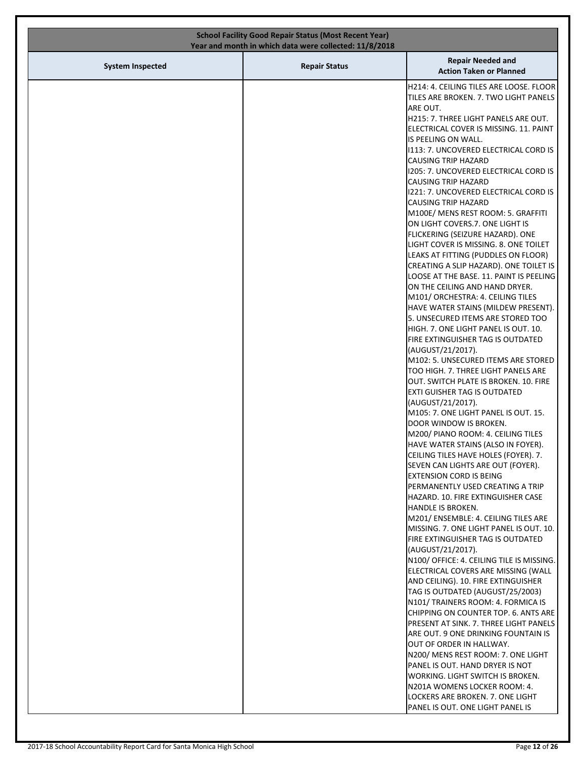| <b>School Facility Good Repair Status (Most Recent Year)</b><br>Year and month in which data were collected: 11/8/2018 |                      |                                                                                  |  |  |
|------------------------------------------------------------------------------------------------------------------------|----------------------|----------------------------------------------------------------------------------|--|--|
| <b>System Inspected</b>                                                                                                | <b>Repair Status</b> | <b>Repair Needed and</b><br><b>Action Taken or Planned</b>                       |  |  |
|                                                                                                                        |                      | H214: 4. CEILING TILES ARE LOOSE. FLOOR<br>TILES ARE BROKEN. 7. TWO LIGHT PANELS |  |  |
|                                                                                                                        |                      | ARE OUT.                                                                         |  |  |
|                                                                                                                        |                      | H215: 7. THREE LIGHT PANELS ARE OUT.                                             |  |  |
|                                                                                                                        |                      | ELECTRICAL COVER IS MISSING. 11. PAINT                                           |  |  |
|                                                                                                                        |                      | IS PEELING ON WALL.                                                              |  |  |
|                                                                                                                        |                      | 1113: 7. UNCOVERED ELECTRICAL CORD IS                                            |  |  |
|                                                                                                                        |                      | <b>CAUSING TRIP HAZARD</b>                                                       |  |  |
|                                                                                                                        |                      | 1205: 7. UNCOVERED ELECTRICAL CORD IS                                            |  |  |
|                                                                                                                        |                      | <b>CAUSING TRIP HAZARD</b><br>1221: 7. UNCOVERED ELECTRICAL CORD IS              |  |  |
|                                                                                                                        |                      | <b>CAUSING TRIP HAZARD</b>                                                       |  |  |
|                                                                                                                        |                      | M100E/ MENS REST ROOM: 5. GRAFFITI                                               |  |  |
|                                                                                                                        |                      | ON LIGHT COVERS.7. ONE LIGHT IS                                                  |  |  |
|                                                                                                                        |                      | FLICKERING (SEIZURE HAZARD). ONE                                                 |  |  |
|                                                                                                                        |                      | LIGHT COVER IS MISSING, 8, ONE TOILET                                            |  |  |
|                                                                                                                        |                      | LEAKS AT FITTING (PUDDLES ON FLOOR)                                              |  |  |
|                                                                                                                        |                      | CREATING A SLIP HAZARD). ONE TOILET IS                                           |  |  |
|                                                                                                                        |                      | LOOSE AT THE BASE. 11. PAINT IS PEELING                                          |  |  |
|                                                                                                                        |                      | ON THE CEILING AND HAND DRYER.                                                   |  |  |
|                                                                                                                        |                      | M101/ ORCHESTRA: 4. CEILING TILES<br>HAVE WATER STAINS (MILDEW PRESENT).         |  |  |
|                                                                                                                        |                      | 5. UNSECURED ITEMS ARE STORED TOO                                                |  |  |
|                                                                                                                        |                      | HIGH. 7. ONE LIGHT PANEL IS OUT. 10.                                             |  |  |
|                                                                                                                        |                      | FIRE EXTINGUISHER TAG IS OUTDATED                                                |  |  |
|                                                                                                                        |                      | (AUGUST/21/2017).                                                                |  |  |
|                                                                                                                        |                      | M102: 5. UNSECURED ITEMS ARE STORED                                              |  |  |
|                                                                                                                        |                      | TOO HIGH. 7. THREE LIGHT PANELS ARE                                              |  |  |
|                                                                                                                        |                      | OUT. SWITCH PLATE IS BROKEN. 10. FIRE                                            |  |  |
|                                                                                                                        |                      | <b>EXTI GUISHER TAG IS OUTDATED</b>                                              |  |  |
|                                                                                                                        |                      | (AUGUST/21/2017).<br>M105: 7. ONE LIGHT PANEL IS OUT. 15.                        |  |  |
|                                                                                                                        |                      | DOOR WINDOW IS BROKEN.                                                           |  |  |
|                                                                                                                        |                      | M200/ PIANO ROOM: 4. CEILING TILES                                               |  |  |
|                                                                                                                        |                      | HAVE WATER STAINS (ALSO IN FOYER).                                               |  |  |
|                                                                                                                        |                      | CEILING TILES HAVE HOLES (FOYER). 7.                                             |  |  |
|                                                                                                                        |                      | SEVEN CAN LIGHTS ARE OUT (FOYER).                                                |  |  |
|                                                                                                                        |                      | <b>EXTENSION CORD IS BEING</b>                                                   |  |  |
|                                                                                                                        |                      | PERMANENTLY USED CREATING A TRIP                                                 |  |  |
|                                                                                                                        |                      | HAZARD. 10. FIRE EXTINGUISHER CASE                                               |  |  |
|                                                                                                                        |                      | HANDLE IS BROKEN.<br>M201/ENSEMBLE: 4. CEILING TILES ARE                         |  |  |
|                                                                                                                        |                      | MISSING. 7. ONE LIGHT PANEL IS OUT. 10.                                          |  |  |
|                                                                                                                        |                      | <b>FIRE EXTINGUISHER TAG IS OUTDATED</b>                                         |  |  |
|                                                                                                                        |                      | (AUGUST/21/2017).                                                                |  |  |
|                                                                                                                        |                      | N100/OFFICE: 4. CEILING TILE IS MISSING.                                         |  |  |
|                                                                                                                        |                      | ELECTRICAL COVERS ARE MISSING (WALL                                              |  |  |
|                                                                                                                        |                      | AND CEILING). 10. FIRE EXTINGUISHER                                              |  |  |
|                                                                                                                        |                      | TAG IS OUTDATED (AUGUST/25/2003)                                                 |  |  |
|                                                                                                                        |                      | N101/ TRAINERS ROOM: 4. FORMICA IS                                               |  |  |
|                                                                                                                        |                      | CHIPPING ON COUNTER TOP. 6. ANTS ARE<br>PRESENT AT SINK. 7. THREE LIGHT PANELS   |  |  |
|                                                                                                                        |                      | ARE OUT. 9 ONE DRINKING FOUNTAIN IS                                              |  |  |
|                                                                                                                        |                      | OUT OF ORDER IN HALLWAY.                                                         |  |  |
|                                                                                                                        |                      | N200/ MENS REST ROOM: 7. ONE LIGHT                                               |  |  |
|                                                                                                                        |                      | PANEL IS OUT. HAND DRYER IS NOT                                                  |  |  |
|                                                                                                                        |                      | WORKING. LIGHT SWITCH IS BROKEN.                                                 |  |  |
|                                                                                                                        |                      | N201A WOMENS LOCKER ROOM: 4.                                                     |  |  |
|                                                                                                                        |                      | LOCKERS ARE BROKEN. 7. ONE LIGHT                                                 |  |  |
|                                                                                                                        |                      | PANEL IS OUT. ONE LIGHT PANEL IS                                                 |  |  |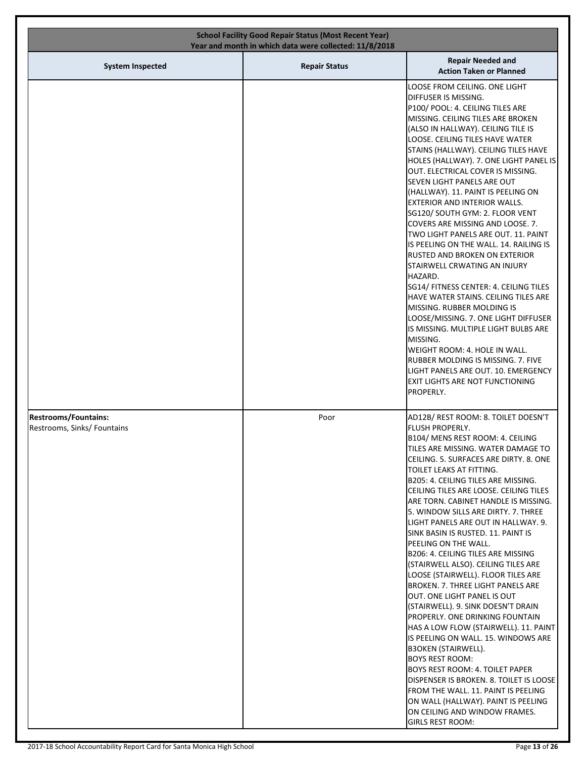| <b>School Facility Good Repair Status (Most Recent Year)</b><br>Year and month in which data were collected: 11/8/2018 |                      |                                                                                                                                                                                                                                                                                                                                                                                                                                                                                                                                                                                                                                                                                                                                                                                                                                                                                                                                                                                                                                                                                                                    |  |  |
|------------------------------------------------------------------------------------------------------------------------|----------------------|--------------------------------------------------------------------------------------------------------------------------------------------------------------------------------------------------------------------------------------------------------------------------------------------------------------------------------------------------------------------------------------------------------------------------------------------------------------------------------------------------------------------------------------------------------------------------------------------------------------------------------------------------------------------------------------------------------------------------------------------------------------------------------------------------------------------------------------------------------------------------------------------------------------------------------------------------------------------------------------------------------------------------------------------------------------------------------------------------------------------|--|--|
| <b>System Inspected</b>                                                                                                | <b>Repair Status</b> | <b>Repair Needed and</b><br><b>Action Taken or Planned</b>                                                                                                                                                                                                                                                                                                                                                                                                                                                                                                                                                                                                                                                                                                                                                                                                                                                                                                                                                                                                                                                         |  |  |
|                                                                                                                        |                      | LOOSE FROM CEILING. ONE LIGHT<br>DIFFUSER IS MISSING.<br>P100/ POOL: 4. CEILING TILES ARE<br>MISSING. CEILING TILES ARE BROKEN<br>(ALSO IN HALLWAY). CEILING TILE IS<br>LOOSE. CEILING TILES HAVE WATER<br>STAINS (HALLWAY). CEILING TILES HAVE<br>HOLES (HALLWAY). 7. ONE LIGHT PANEL IS<br>OUT. ELECTRICAL COVER IS MISSING.<br>SEVEN LIGHT PANELS ARE OUT<br>(HALLWAY). 11. PAINT IS PEELING ON<br><b>EXTERIOR AND INTERIOR WALLS.</b><br>SG120/ SOUTH GYM: 2. FLOOR VENT<br>COVERS ARE MISSING AND LOOSE. 7.<br>TWO LIGHT PANELS ARE OUT. 11. PAINT<br>IS PEELING ON THE WALL. 14. RAILING IS<br>RUSTED AND BROKEN ON EXTERIOR<br>STAIRWELL CRWATING AN INJURY<br>HAZARD.<br>SG14/ FITNESS CENTER: 4. CEILING TILES<br>HAVE WATER STAINS. CEILING TILES ARE<br>MISSING. RUBBER MOLDING IS<br>LOOSE/MISSING. 7. ONE LIGHT DIFFUSER<br>IS MISSING. MULTIPLE LIGHT BULBS ARE<br>MISSING.<br>WEIGHT ROOM: 4. HOLE IN WALL.<br>RUBBER MOLDING IS MISSING. 7. FIVE<br>LIGHT PANELS ARE OUT. 10. EMERGENCY<br><b>EXIT LIGHTS ARE NOT FUNCTIONING</b><br>PROPERLY.                                                     |  |  |
| <b>Restrooms/Fountains:</b><br>Restrooms, Sinks/ Fountains                                                             | Poor                 | AD12B/ REST ROOM: 8. TOILET DOESN'T<br><b>FLUSH PROPERLY.</b><br>B104/ MENS REST ROOM: 4. CEILING<br>TILES ARE MISSING. WATER DAMAGE TO<br>CEILING. 5. SURFACES ARE DIRTY. 8. ONE<br>TOILET LEAKS AT FITTING.<br>B205: 4. CEILING TILES ARE MISSING.<br>CEILING TILES ARE LOOSE. CEILING TILES<br>ARE TORN. CABINET HANDLE IS MISSING.<br>5. WINDOW SILLS ARE DIRTY, 7. THREE<br>LIGHT PANELS ARE OUT IN HALLWAY. 9.<br>SINK BASIN IS RUSTED. 11. PAINT IS<br>PEELING ON THE WALL.<br>B206: 4. CEILING TILES ARE MISSING<br>(STAIRWELL ALSO). CEILING TILES ARE<br>LOOSE (STAIRWELL). FLOOR TILES ARE<br>BROKEN. 7. THREE LIGHT PANELS ARE<br>OUT. ONE LIGHT PANEL IS OUT<br>(STAIRWELL). 9. SINK DOESN'T DRAIN<br>PROPERLY. ONE DRINKING FOUNTAIN<br>HAS A LOW FLOW (STAIRWELL). 11. PAINT<br>IS PEELING ON WALL. 15. WINDOWS ARE<br><b>B3OKEN (STAIRWELL).</b><br><b>BOYS REST ROOM:</b><br>BOYS REST ROOM: 4. TOILET PAPER<br>DISPENSER IS BROKEN. 8. TOILET IS LOOSE<br>FROM THE WALL. 11. PAINT IS PEELING<br>ON WALL (HALLWAY). PAINT IS PEELING<br>ON CEILING AND WINDOW FRAMES.<br><b>GIRLS REST ROOM:</b> |  |  |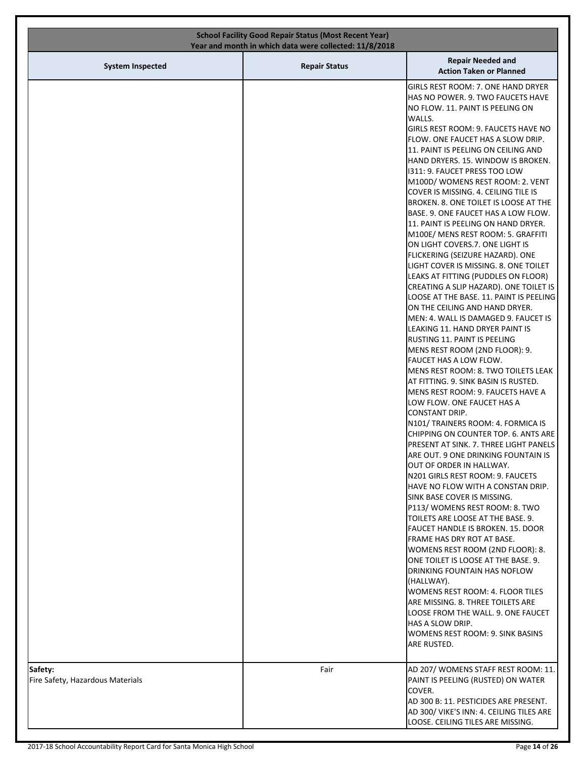| <b>System Inspected</b>                     | Year and month in which data were collected: 11/8/2018 |                                                                                                                                                                                                                                                                                                                                                                                                                                                                                                                                                                                                                                                                                                                                                                                                                                                                                                                                                                                                                                                                                                                                                                                                                                                                                                                                                                                                                                                                                                                                                                                                                                                                                                                                                                                                                                                                                                                                                     |
|---------------------------------------------|--------------------------------------------------------|-----------------------------------------------------------------------------------------------------------------------------------------------------------------------------------------------------------------------------------------------------------------------------------------------------------------------------------------------------------------------------------------------------------------------------------------------------------------------------------------------------------------------------------------------------------------------------------------------------------------------------------------------------------------------------------------------------------------------------------------------------------------------------------------------------------------------------------------------------------------------------------------------------------------------------------------------------------------------------------------------------------------------------------------------------------------------------------------------------------------------------------------------------------------------------------------------------------------------------------------------------------------------------------------------------------------------------------------------------------------------------------------------------------------------------------------------------------------------------------------------------------------------------------------------------------------------------------------------------------------------------------------------------------------------------------------------------------------------------------------------------------------------------------------------------------------------------------------------------------------------------------------------------------------------------------------------------|
|                                             | <b>Repair Status</b>                                   | <b>Repair Needed and</b><br><b>Action Taken or Planned</b>                                                                                                                                                                                                                                                                                                                                                                                                                                                                                                                                                                                                                                                                                                                                                                                                                                                                                                                                                                                                                                                                                                                                                                                                                                                                                                                                                                                                                                                                                                                                                                                                                                                                                                                                                                                                                                                                                          |
|                                             |                                                        | GIRLS REST ROOM: 7. ONE HAND DRYER<br>HAS NO POWER. 9. TWO FAUCETS HAVE<br>NO FLOW. 11. PAINT IS PEELING ON<br>WALLS.<br>GIRLS REST ROOM: 9. FAUCETS HAVE NO<br>FLOW. ONE FAUCET HAS A SLOW DRIP.<br>11. PAINT IS PEELING ON CEILING AND<br>HAND DRYERS. 15. WINDOW IS BROKEN.<br>1311: 9. FAUCET PRESS TOO LOW<br>M100D/WOMENS REST ROOM: 2. VENT<br>COVER IS MISSING. 4. CEILING TILE IS<br>BROKEN. 8. ONE TOILET IS LOOSE AT THE<br>BASE. 9. ONE FAUCET HAS A LOW FLOW.<br>11. PAINT IS PEELING ON HAND DRYER.<br>M100E/ MENS REST ROOM: 5. GRAFFITI<br>ON LIGHT COVERS.7. ONE LIGHT IS<br>FLICKERING (SEIZURE HAZARD). ONE<br>LIGHT COVER IS MISSING. 8. ONE TOILET<br>LEAKS AT FITTING (PUDDLES ON FLOOR)<br>CREATING A SLIP HAZARD). ONE TOILET IS<br>LOOSE AT THE BASE. 11. PAINT IS PEELING<br>ON THE CEILING AND HAND DRYER.<br>MEN: 4. WALL IS DAMAGED 9. FAUCET IS<br>LEAKING 11. HAND DRYER PAINT IS<br>RUSTING 11. PAINT IS PEELING<br>MENS REST ROOM (2ND FLOOR): 9.<br>FAUCET HAS A LOW FLOW.<br>MENS REST ROOM: 8. TWO TOILETS LEAK<br>AT FITTING. 9. SINK BASIN IS RUSTED.<br>MENS REST ROOM: 9. FAUCETS HAVE A<br>LOW FLOW. ONE FAUCET HAS A<br>CONSTANT DRIP.<br>N101/ TRAINERS ROOM: 4. FORMICA IS<br>CHIPPING ON COUNTER TOP. 6. ANTS ARE<br><b>PRESENT AT SINK. 7. THREE LIGHT PANELS</b><br>ARE OUT. 9 ONE DRINKING FOUNTAIN IS<br>OUT OF ORDER IN HALLWAY.<br>N201 GIRLS REST ROOM: 9. FAUCETS<br>HAVE NO FLOW WITH A CONSTAN DRIP.<br>SINK BASE COVER IS MISSING.<br>P113/ WOMENS REST ROOM: 8. TWO<br>TOILETS ARE LOOSE AT THE BASE. 9.<br>FAUCET HANDLE IS BROKEN. 15. DOOR<br>FRAME HAS DRY ROT AT BASE.<br>WOMENS REST ROOM (2ND FLOOR): 8.<br>ONE TOILET IS LOOSE AT THE BASE. 9.<br>DRINKING FOUNTAIN HAS NOFLOW<br>(HALLWAY).<br>WOMENS REST ROOM: 4. FLOOR TILES<br>ARE MISSING. 8. THREE TOILETS ARE<br>LOOSE FROM THE WALL. 9. ONE FAUCET<br>HAS A SLOW DRIP.<br>WOMENS REST ROOM: 9. SINK BASINS<br>ARE RUSTED. |
| Safety:<br>Fire Safety, Hazardous Materials | Fair                                                   | AD 207/ WOMENS STAFF REST ROOM: 11.<br>PAINT IS PEELING (RUSTED) ON WATER<br>COVER.<br>AD 300 B: 11. PESTICIDES ARE PRESENT.                                                                                                                                                                                                                                                                                                                                                                                                                                                                                                                                                                                                                                                                                                                                                                                                                                                                                                                                                                                                                                                                                                                                                                                                                                                                                                                                                                                                                                                                                                                                                                                                                                                                                                                                                                                                                        |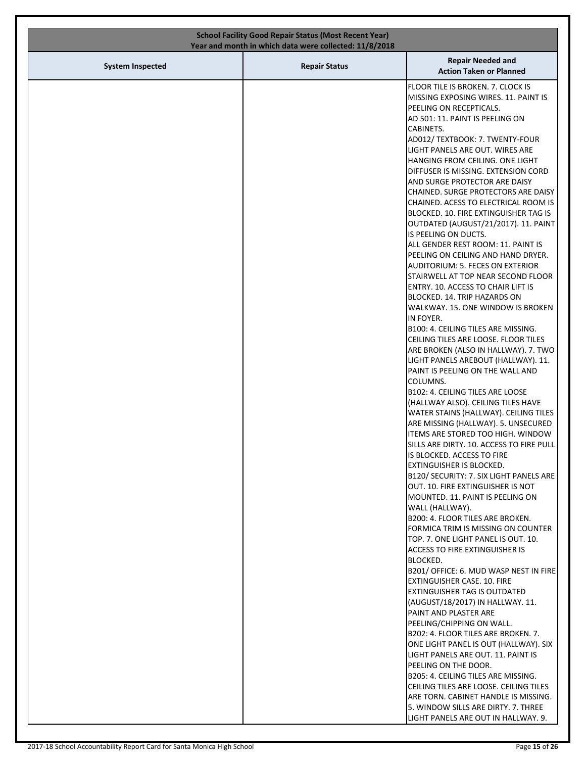| Year and month in which data were collected: 11/8/2018 |                      |                                                                               |  |  |
|--------------------------------------------------------|----------------------|-------------------------------------------------------------------------------|--|--|
| <b>System Inspected</b>                                | <b>Repair Status</b> | <b>Repair Needed and</b><br><b>Action Taken or Planned</b>                    |  |  |
|                                                        |                      | FLOOR TILE IS BROKEN. 7. CLOCK IS                                             |  |  |
|                                                        |                      | MISSING EXPOSING WIRES. 11. PAINT IS                                          |  |  |
|                                                        |                      | PEELING ON RECEPTICALS.<br>AD 501: 11. PAINT IS PEELING ON                    |  |  |
|                                                        |                      | CABINETS.                                                                     |  |  |
|                                                        |                      | AD012/ TEXTBOOK: 7. TWENTY-FOUR                                               |  |  |
|                                                        |                      | LIGHT PANELS ARE OUT. WIRES ARE                                               |  |  |
|                                                        |                      | HANGING FROM CEILING. ONE LIGHT                                               |  |  |
|                                                        |                      | DIFFUSER IS MISSING. EXTENSION CORD                                           |  |  |
|                                                        |                      | AND SURGE PROTECTOR ARE DAISY                                                 |  |  |
|                                                        |                      | CHAINED. SURGE PROTECTORS ARE DAISY                                           |  |  |
|                                                        |                      | CHAINED. ACESS TO ELECTRICAL ROOM IS                                          |  |  |
|                                                        |                      | BLOCKED. 10. FIRE EXTINGUISHER TAG IS                                         |  |  |
|                                                        |                      | OUTDATED (AUGUST/21/2017). 11. PAINT<br>IS PEELING ON DUCTS.                  |  |  |
|                                                        |                      | ALL GENDER REST ROOM: 11. PAINT IS                                            |  |  |
|                                                        |                      | PEELING ON CEILING AND HAND DRYER.                                            |  |  |
|                                                        |                      | AUDITORIUM: 5. FECES ON EXTERIOR                                              |  |  |
|                                                        |                      | STAIRWELL AT TOP NEAR SECOND FLOOR                                            |  |  |
|                                                        |                      | ENTRY, 10. ACCESS TO CHAIR LIFT IS                                            |  |  |
|                                                        |                      | BLOCKED. 14. TRIP HAZARDS ON                                                  |  |  |
|                                                        |                      | WALKWAY. 15. ONE WINDOW IS BROKEN<br>IN FOYER.                                |  |  |
|                                                        |                      | B100: 4. CEILING TILES ARE MISSING.                                           |  |  |
|                                                        |                      | CEILING TILES ARE LOOSE. FLOOR TILES                                          |  |  |
|                                                        |                      | ARE BROKEN (ALSO IN HALLWAY). 7. TWO                                          |  |  |
|                                                        |                      | LIGHT PANELS AREBOUT (HALLWAY). 11.                                           |  |  |
|                                                        |                      | PAINT IS PEELING ON THE WALL AND                                              |  |  |
|                                                        |                      | COLUMNS.                                                                      |  |  |
|                                                        |                      | B102: 4. CEILING TILES ARE LOOSE                                              |  |  |
|                                                        |                      | (HALLWAY ALSO). CEILING TILES HAVE                                            |  |  |
|                                                        |                      | WATER STAINS (HALLWAY). CEILING TILES<br>ARE MISSING (HALLWAY). 5. UNSECURED  |  |  |
|                                                        |                      | ITEMS ARE STORED TOO HIGH. WINDOW                                             |  |  |
|                                                        |                      | SILLS ARE DIRTY. 10. ACCESS TO FIRE PULL                                      |  |  |
|                                                        |                      | IS BLOCKED. ACCESS TO FIRE                                                    |  |  |
|                                                        |                      | EXTINGUISHER IS BLOCKED.                                                      |  |  |
|                                                        |                      | B120/ SECURITY: 7. SIX LIGHT PANELS ARE                                       |  |  |
|                                                        |                      | OUT. 10. FIRE EXTINGUISHER IS NOT                                             |  |  |
|                                                        |                      | MOUNTED. 11. PAINT IS PEELING ON<br>WALL (HALLWAY).                           |  |  |
|                                                        |                      | B200: 4. FLOOR TILES ARE BROKEN.                                              |  |  |
|                                                        |                      | FORMICA TRIM IS MISSING ON COUNTER                                            |  |  |
|                                                        |                      | TOP. 7. ONE LIGHT PANEL IS OUT. 10.                                           |  |  |
|                                                        |                      | <b>ACCESS TO FIRE EXTINGUISHER IS</b>                                         |  |  |
|                                                        |                      | <b>BLOCKED.</b>                                                               |  |  |
|                                                        |                      | B201/OFFICE: 6. MUD WASP NEST IN FIRE                                         |  |  |
|                                                        |                      | EXTINGUISHER CASE. 10. FIRE<br><b>EXTINGUISHER TAG IS OUTDATED</b>            |  |  |
|                                                        |                      | (AUGUST/18/2017) IN HALLWAY. 11.                                              |  |  |
|                                                        |                      | PAINT AND PLASTER ARE                                                         |  |  |
|                                                        |                      | PEELING/CHIPPING ON WALL.                                                     |  |  |
|                                                        |                      | B202: 4. FLOOR TILES ARE BROKEN. 7.                                           |  |  |
|                                                        |                      | ONE LIGHT PANEL IS OUT (HALLWAY). SIX                                         |  |  |
|                                                        |                      | LIGHT PANELS ARE OUT. 11. PAINT IS                                            |  |  |
|                                                        |                      | PEELING ON THE DOOR.                                                          |  |  |
|                                                        |                      | B205: 4. CEILING TILES ARE MISSING.<br>CEILING TILES ARE LOOSE. CEILING TILES |  |  |
|                                                        |                      | ARE TORN. CABINET HANDLE IS MISSING.                                          |  |  |
|                                                        |                      | 5. WINDOW SILLS ARE DIRTY. 7. THREE                                           |  |  |
|                                                        |                      | LIGHT PANELS ARE OUT IN HALLWAY. 9.                                           |  |  |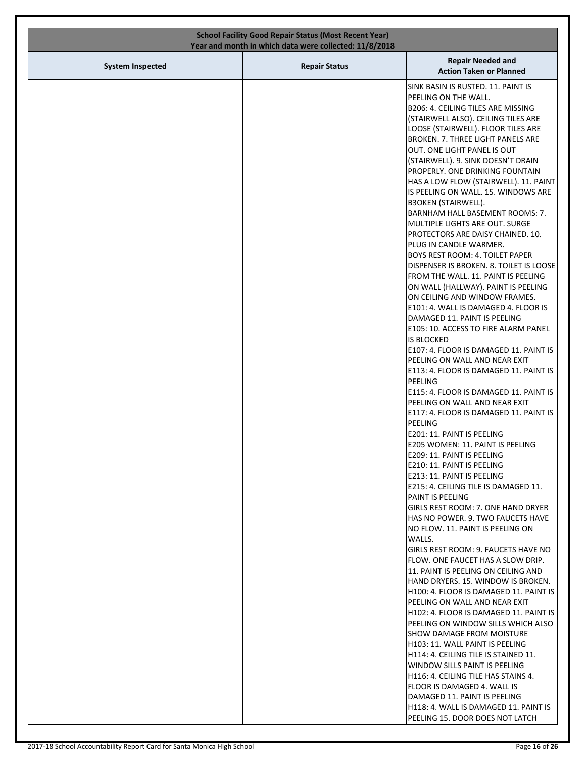|                         | Year and month in which data were collected: 11/8/2018 |                                                                                |
|-------------------------|--------------------------------------------------------|--------------------------------------------------------------------------------|
| <b>System Inspected</b> | <b>Repair Status</b>                                   | <b>Repair Needed and</b><br><b>Action Taken or Planned</b>                     |
|                         |                                                        | SINK BASIN IS RUSTED. 11. PAINT IS                                             |
|                         |                                                        | PEELING ON THE WALL.                                                           |
|                         |                                                        | B206: 4. CEILING TILES ARE MISSING                                             |
|                         |                                                        | (STAIRWELL ALSO). CEILING TILES ARE                                            |
|                         |                                                        | LOOSE (STAIRWELL). FLOOR TILES ARE                                             |
|                         |                                                        | BROKEN. 7. THREE LIGHT PANELS ARE                                              |
|                         |                                                        | OUT. ONE LIGHT PANEL IS OUT                                                    |
|                         |                                                        | (STAIRWELL). 9. SINK DOESN'T DRAIN                                             |
|                         |                                                        | PROPERLY. ONE DRINKING FOUNTAIN                                                |
|                         |                                                        | HAS A LOW FLOW (STAIRWELL). 11. PAINT                                          |
|                         |                                                        | IS PEELING ON WALL. 15. WINDOWS ARE                                            |
|                         |                                                        | <b>B3OKEN (STAIRWELL).</b>                                                     |
|                         |                                                        | BARNHAM HALL BASEMENT ROOMS: 7.                                                |
|                         |                                                        | MULTIPLE LIGHTS ARE OUT. SURGE                                                 |
|                         |                                                        | PROTECTORS ARE DAISY CHAINED. 10.                                              |
|                         |                                                        | PLUG IN CANDLE WARMER.                                                         |
|                         |                                                        | BOYS REST ROOM: 4. TOILET PAPER                                                |
|                         |                                                        | DISPENSER IS BROKEN. 8. TOILET IS LOOSE<br>FROM THE WALL. 11. PAINT IS PEELING |
|                         |                                                        | ON WALL (HALLWAY). PAINT IS PEELING                                            |
|                         |                                                        | ON CEILING AND WINDOW FRAMES.                                                  |
|                         |                                                        | E101: 4. WALL IS DAMAGED 4. FLOOR IS                                           |
|                         |                                                        | DAMAGED 11. PAINT IS PEELING                                                   |
|                         |                                                        | E105: 10. ACCESS TO FIRE ALARM PANEL                                           |
|                         |                                                        | <b>IS BLOCKED</b>                                                              |
|                         |                                                        | E107: 4. FLOOR IS DAMAGED 11. PAINT IS                                         |
|                         |                                                        | PEELING ON WALL AND NEAR EXIT                                                  |
|                         |                                                        | E113: 4. FLOOR IS DAMAGED 11. PAINT IS                                         |
|                         |                                                        | PEELING                                                                        |
|                         |                                                        | E115: 4. FLOOR IS DAMAGED 11. PAINT IS                                         |
|                         |                                                        | PEELING ON WALL AND NEAR EXIT                                                  |
|                         |                                                        | E117: 4. FLOOR IS DAMAGED 11. PAINT IS                                         |
|                         |                                                        | <b>PEELING</b>                                                                 |
|                         |                                                        | E201: 11. PAINT IS PEELING                                                     |
|                         |                                                        | E205 WOMEN: 11. PAINT IS PEELING                                               |
|                         |                                                        | E209: 11. PAINT IS PEELING                                                     |
|                         |                                                        | E210: 11. PAINT IS PEELING                                                     |
|                         |                                                        | E213: 11. PAINT IS PEELING                                                     |
|                         |                                                        | E215: 4. CEILING TILE IS DAMAGED 11.                                           |
|                         |                                                        | PAINT IS PEELING<br>GIRLS REST ROOM: 7. ONE HAND DRYER                         |
|                         |                                                        | HAS NO POWER. 9. TWO FAUCETS HAVE                                              |
|                         |                                                        | NO FLOW. 11. PAINT IS PEELING ON                                               |
|                         |                                                        | WALLS.                                                                         |
|                         |                                                        | GIRLS REST ROOM: 9. FAUCETS HAVE NO                                            |
|                         |                                                        | FLOW. ONE FAUCET HAS A SLOW DRIP.                                              |
|                         |                                                        | 11. PAINT IS PEELING ON CEILING AND                                            |
|                         |                                                        | HAND DRYERS. 15. WINDOW IS BROKEN.                                             |
|                         |                                                        | H100: 4. FLOOR IS DAMAGED 11. PAINT IS                                         |
|                         |                                                        | IPEELING ON WALL AND NEAR EXIT                                                 |
|                         |                                                        | H102: 4. FLOOR IS DAMAGED 11. PAINT IS                                         |
|                         |                                                        | PEELING ON WINDOW SILLS WHICH ALSO                                             |
|                         |                                                        | <b>SHOW DAMAGE FROM MOISTURE</b>                                               |
|                         |                                                        | H103: 11. WALL PAINT IS PEELING                                                |
|                         |                                                        | H114: 4. CEILING TILE IS STAINED 11.                                           |
|                         |                                                        | WINDOW SILLS PAINT IS PEELING                                                  |
|                         |                                                        | H116: 4. CEILING TILE HAS STAINS 4.                                            |
|                         |                                                        | FLOOR IS DAMAGED 4. WALL IS                                                    |
|                         |                                                        | DAMAGED 11. PAINT IS PEELING                                                   |
|                         |                                                        | H118: 4. WALL IS DAMAGED 11. PAINT IS                                          |
|                         |                                                        | PEELING 15. DOOR DOES NOT LATCH                                                |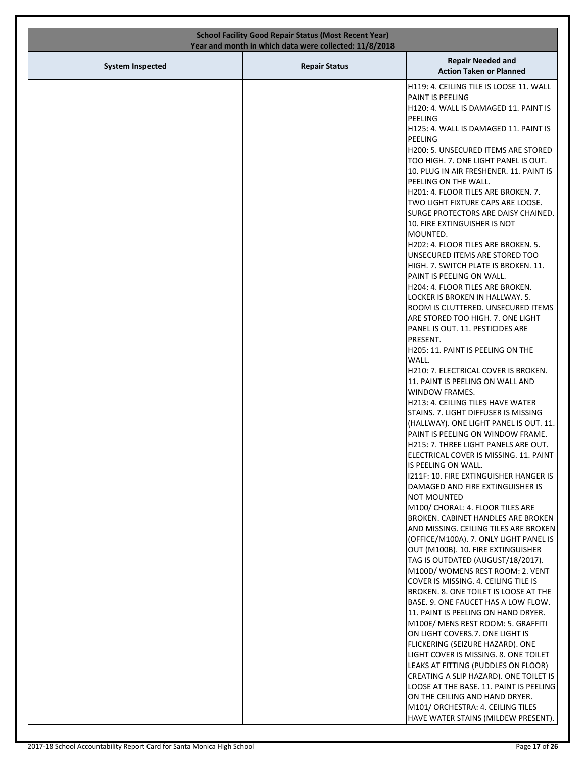| <b>System Inspected</b> | <b>Repair Status</b> | <b>Repair Needed and</b><br><b>Action Taken or Planned</b>                    |
|-------------------------|----------------------|-------------------------------------------------------------------------------|
|                         |                      | H119: 4. CEILING TILE IS LOOSE 11. WALL                                       |
|                         |                      | <b>PAINT IS PEELING</b>                                                       |
|                         |                      | H120: 4. WALL IS DAMAGED 11. PAINT IS                                         |
|                         |                      | PEELING                                                                       |
|                         |                      | H125: 4. WALL IS DAMAGED 11. PAINT IS<br><b>PEELING</b>                       |
|                         |                      | H200: 5. UNSECURED ITEMS ARE STORED                                           |
|                         |                      | TOO HIGH. 7. ONE LIGHT PANEL IS OUT.                                          |
|                         |                      | 10. PLUG IN AIR FRESHENER. 11. PAINT IS                                       |
|                         |                      | PEELING ON THE WALL.                                                          |
|                         |                      | H201: 4. FLOOR TILES ARE BROKEN. 7.                                           |
|                         |                      | TWO LIGHT FIXTURE CAPS ARE LOOSE.                                             |
|                         |                      | SURGE PROTECTORS ARE DAISY CHAINED.<br>10. FIRE EXTINGUISHER IS NOT           |
|                         |                      | MOUNTED.                                                                      |
|                         |                      | H202: 4. FLOOR TILES ARE BROKEN. 5.                                           |
|                         |                      | UNSECURED ITEMS ARE STORED TOO                                                |
|                         |                      | HIGH. 7. SWITCH PLATE IS BROKEN. 11.                                          |
|                         |                      | PAINT IS PEELING ON WALL.<br>H204: 4. FLOOR TILES ARE BROKEN.                 |
|                         |                      | LOCKER IS BROKEN IN HALLWAY. 5.                                               |
|                         |                      | ROOM IS CLUTTERED. UNSECURED ITEMS                                            |
|                         |                      | ARE STORED TOO HIGH. 7. ONE LIGHT                                             |
|                         |                      | PANEL IS OUT. 11. PESTICIDES ARE                                              |
|                         |                      | PRESENT.                                                                      |
|                         |                      | H205: 11. PAINT IS PEELING ON THE                                             |
|                         |                      | WALL.<br>H210: 7. ELECTRICAL COVER IS BROKEN.                                 |
|                         |                      | 11. PAINT IS PEELING ON WALL AND                                              |
|                         |                      | <b>WINDOW FRAMES.</b>                                                         |
|                         |                      | H213: 4. CEILING TILES HAVE WATER                                             |
|                         |                      | STAINS. 7. LIGHT DIFFUSER IS MISSING                                          |
|                         |                      | (HALLWAY). ONE LIGHT PANEL IS OUT. 11.                                        |
|                         |                      | PAINT IS PEELING ON WINDOW FRAME.<br>H215: 7. THREE LIGHT PANELS ARE OUT.     |
|                         |                      | ELECTRICAL COVER IS MISSING. 11. PAINT                                        |
|                         |                      | IS PEELING ON WALL.                                                           |
|                         |                      | 1211F: 10. FIRE EXTINGUISHER HANGER IS                                        |
|                         |                      | DAMAGED AND FIRE EXTINGUISHER IS                                              |
|                         |                      | <b>NOT MOUNTED</b>                                                            |
|                         |                      | M100/ CHORAL: 4. FLOOR TILES ARE<br><b>BROKEN, CABINET HANDLES ARE BROKEN</b> |
|                         |                      | AND MISSING. CEILING TILES ARE BROKEN                                         |
|                         |                      | (OFFICE/M100A). 7. ONLY LIGHT PANEL IS                                        |
|                         |                      | OUT (M100B). 10. FIRE EXTINGUISHER                                            |
|                         |                      | TAG IS OUTDATED (AUGUST/18/2017).                                             |
|                         |                      | M100D/WOMENS REST ROOM: 2. VENT<br>COVER IS MISSING. 4. CEILING TILE IS       |
|                         |                      | BROKEN. 8. ONE TOILET IS LOOSE AT THE                                         |
|                         |                      | BASE. 9. ONE FAUCET HAS A LOW FLOW.                                           |
|                         |                      | 11. PAINT IS PEELING ON HAND DRYER.                                           |
|                         |                      | M100E/ MENS REST ROOM: 5. GRAFFITI                                            |
|                         |                      | ON LIGHT COVERS.7. ONE LIGHT IS                                               |
|                         |                      | FLICKERING (SEIZURE HAZARD). ONE<br>LIGHT COVER IS MISSING. 8. ONE TOILET     |
|                         |                      | LEAKS AT FITTING (PUDDLES ON FLOOR)                                           |
|                         |                      | CREATING A SLIP HAZARD). ONE TOILET IS                                        |
|                         |                      | LOOSE AT THE BASE. 11. PAINT IS PEELING                                       |
|                         |                      | ON THE CEILING AND HAND DRYER.                                                |
|                         |                      | M101/ ORCHESTRA: 4. CEILING TILES                                             |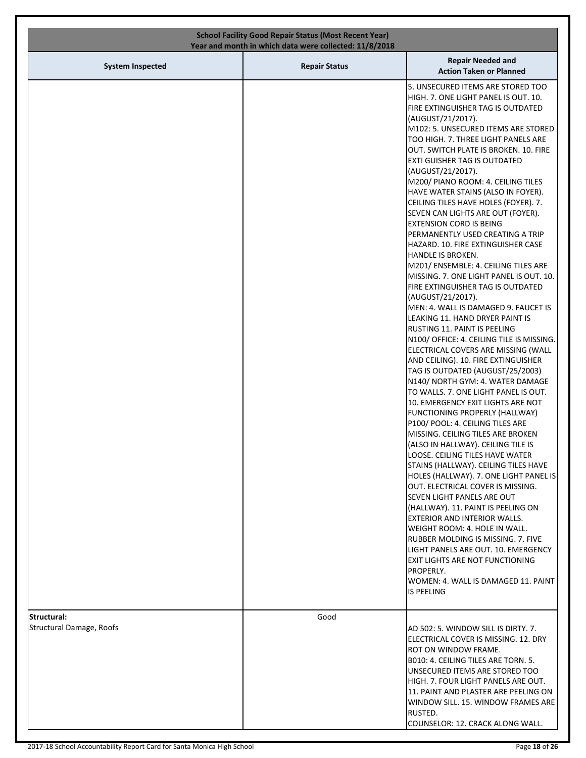| <b>School Facility Good Repair Status (Most Recent Year)</b><br>Year and month in which data were collected: 11/8/2018 |                      |                                                                                                                                                                                                                                                                                                                                                                                                                                                                                                                                                                                                                                                                                                                                                                                                                                                                                                                                                                                                                                                                                                                                                                                                                                                                                                                                                                                                                                                                                                                                                                                                                                                                                                                                                                                                                      |  |  |
|------------------------------------------------------------------------------------------------------------------------|----------------------|----------------------------------------------------------------------------------------------------------------------------------------------------------------------------------------------------------------------------------------------------------------------------------------------------------------------------------------------------------------------------------------------------------------------------------------------------------------------------------------------------------------------------------------------------------------------------------------------------------------------------------------------------------------------------------------------------------------------------------------------------------------------------------------------------------------------------------------------------------------------------------------------------------------------------------------------------------------------------------------------------------------------------------------------------------------------------------------------------------------------------------------------------------------------------------------------------------------------------------------------------------------------------------------------------------------------------------------------------------------------------------------------------------------------------------------------------------------------------------------------------------------------------------------------------------------------------------------------------------------------------------------------------------------------------------------------------------------------------------------------------------------------------------------------------------------------|--|--|
| <b>System Inspected</b>                                                                                                | <b>Repair Status</b> | <b>Repair Needed and</b><br><b>Action Taken or Planned</b>                                                                                                                                                                                                                                                                                                                                                                                                                                                                                                                                                                                                                                                                                                                                                                                                                                                                                                                                                                                                                                                                                                                                                                                                                                                                                                                                                                                                                                                                                                                                                                                                                                                                                                                                                           |  |  |
|                                                                                                                        |                      | 5. UNSECURED ITEMS ARE STORED TOO<br>HIGH. 7. ONE LIGHT PANEL IS OUT. 10.<br>FIRE EXTINGUISHER TAG IS OUTDATED<br>(AUGUST/21/2017).<br>M102: 5. UNSECURED ITEMS ARE STORED<br>TOO HIGH. 7. THREE LIGHT PANELS ARE<br>OUT. SWITCH PLATE IS BROKEN. 10. FIRE<br><b>EXTI GUISHER TAG IS OUTDATED</b><br>(AUGUST/21/2017).<br>M200/ PIANO ROOM: 4. CEILING TILES<br>HAVE WATER STAINS (ALSO IN FOYER).<br>CEILING TILES HAVE HOLES (FOYER). 7.<br>SEVEN CAN LIGHTS ARE OUT (FOYER).<br><b>EXTENSION CORD IS BEING</b><br>PERMANENTLY USED CREATING A TRIP<br>HAZARD. 10. FIRE EXTINGUISHER CASE<br><b>HANDLE IS BROKEN.</b><br>M201/ENSEMBLE: 4. CEILING TILES ARE<br>MISSING. 7. ONE LIGHT PANEL IS OUT. 10.<br>FIRE EXTINGUISHER TAG IS OUTDATED<br>(AUGUST/21/2017).<br>MEN: 4. WALL IS DAMAGED 9. FAUCET IS<br>LEAKING 11. HAND DRYER PAINT IS<br>RUSTING 11. PAINT IS PEELING<br>N100/OFFICE: 4. CEILING TILE IS MISSING.<br>ELECTRICAL COVERS ARE MISSING (WALL<br>AND CEILING). 10. FIRE EXTINGUISHER<br>TAG IS OUTDATED (AUGUST/25/2003)<br>N140/ NORTH GYM: 4. WATER DAMAGE<br>TO WALLS. 7. ONE LIGHT PANEL IS OUT.<br>10. EMERGENCY EXIT LIGHTS ARE NOT<br>FUNCTIONING PROPERLY (HALLWAY)<br>P100/ POOL: 4. CEILING TILES ARE<br>MISSING. CEILING TILES ARE BROKEN<br>(ALSO IN HALLWAY). CEILING TILE IS<br>LOOSE. CEILING TILES HAVE WATER<br>STAINS (HALLWAY). CEILING TILES HAVE<br>HOLES (HALLWAY). 7. ONE LIGHT PANEL IS<br>OUT. ELECTRICAL COVER IS MISSING.<br>SEVEN LIGHT PANELS ARE OUT<br>(HALLWAY). 11. PAINT IS PEELING ON<br>EXTERIOR AND INTERIOR WALLS.<br>WEIGHT ROOM: 4. HOLE IN WALL.<br>RUBBER MOLDING IS MISSING. 7. FIVE<br>LIGHT PANELS ARE OUT. 10. EMERGENCY<br><b>EXIT LIGHTS ARE NOT FUNCTIONING</b><br><b>PROPERLY.</b><br>WOMEN: 4. WALL IS DAMAGED 11. PAINT<br><b>IS PEELING</b> |  |  |
| Structural:<br><b>Structural Damage, Roofs</b>                                                                         | Good                 | AD 502: 5. WINDOW SILL IS DIRTY. 7.<br>ELECTRICAL COVER IS MISSING. 12. DRY<br>ROT ON WINDOW FRAME.<br>B010: 4. CEILING TILES ARE TORN. 5.<br>UNSECURED ITEMS ARE STORED TOO<br>HIGH. 7. FOUR LIGHT PANELS ARE OUT.<br>11. PAINT AND PLASTER ARE PEELING ON<br>WINDOW SILL. 15. WINDOW FRAMES ARE<br>RUSTED.                                                                                                                                                                                                                                                                                                                                                                                                                                                                                                                                                                                                                                                                                                                                                                                                                                                                                                                                                                                                                                                                                                                                                                                                                                                                                                                                                                                                                                                                                                         |  |  |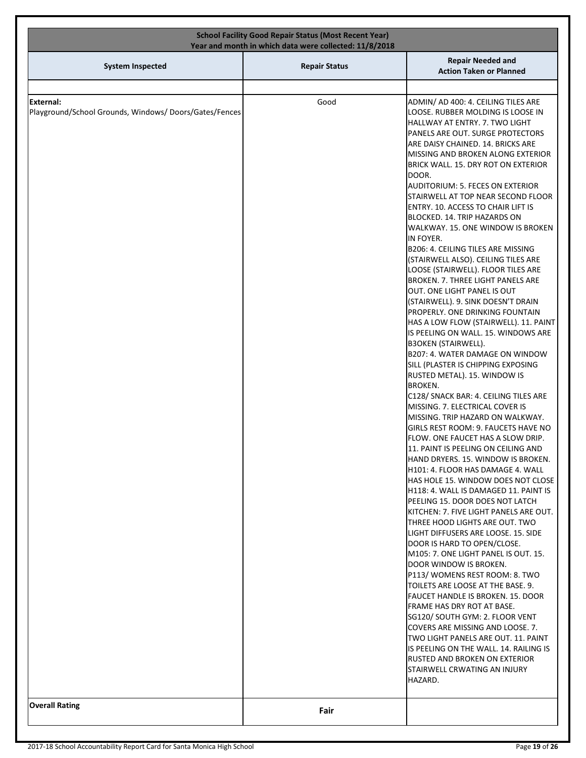|                                                                    | <b>Repair Needed and</b> |                                                                                                                                                                                                                                                                                                                                                                                                                                                                                                                                                                                                                                                                                                                                                                                                                                                                                                                                                                                                                                                                                                                                                                                                                                                                                                                                                                                                                                                                                                                                                                                                                                                                                                                                                                                                                                                                                                                                                                                                                       |  |
|--------------------------------------------------------------------|--------------------------|-----------------------------------------------------------------------------------------------------------------------------------------------------------------------------------------------------------------------------------------------------------------------------------------------------------------------------------------------------------------------------------------------------------------------------------------------------------------------------------------------------------------------------------------------------------------------------------------------------------------------------------------------------------------------------------------------------------------------------------------------------------------------------------------------------------------------------------------------------------------------------------------------------------------------------------------------------------------------------------------------------------------------------------------------------------------------------------------------------------------------------------------------------------------------------------------------------------------------------------------------------------------------------------------------------------------------------------------------------------------------------------------------------------------------------------------------------------------------------------------------------------------------------------------------------------------------------------------------------------------------------------------------------------------------------------------------------------------------------------------------------------------------------------------------------------------------------------------------------------------------------------------------------------------------------------------------------------------------------------------------------------------------|--|
| <b>System Inspected</b>                                            | <b>Repair Status</b>     | <b>Action Taken or Planned</b>                                                                                                                                                                                                                                                                                                                                                                                                                                                                                                                                                                                                                                                                                                                                                                                                                                                                                                                                                                                                                                                                                                                                                                                                                                                                                                                                                                                                                                                                                                                                                                                                                                                                                                                                                                                                                                                                                                                                                                                        |  |
|                                                                    |                          |                                                                                                                                                                                                                                                                                                                                                                                                                                                                                                                                                                                                                                                                                                                                                                                                                                                                                                                                                                                                                                                                                                                                                                                                                                                                                                                                                                                                                                                                                                                                                                                                                                                                                                                                                                                                                                                                                                                                                                                                                       |  |
| External:<br>Playground/School Grounds, Windows/Doors/Gates/Fences | Good                     | ADMIN/ AD 400: 4. CEILING TILES ARE<br>LOOSE. RUBBER MOLDING IS LOOSE IN<br>HALLWAY AT ENTRY. 7. TWO LIGHT<br>PANELS ARE OUT. SURGE PROTECTORS<br>ARE DAISY CHAINED. 14. BRICKS ARE<br>MISSING AND BROKEN ALONG EXTERIOR<br>BRICK WALL. 15. DRY ROT ON EXTERIOR<br>DOOR.<br>AUDITORIUM: 5. FECES ON EXTERIOR<br>STAIRWELL AT TOP NEAR SECOND FLOOR<br>ENTRY. 10. ACCESS TO CHAIR LIFT IS<br>BLOCKED. 14. TRIP HAZARDS ON<br>WALKWAY. 15. ONE WINDOW IS BROKEN<br>IN FOYER.<br>B206: 4. CEILING TILES ARE MISSING<br>(STAIRWELL ALSO). CEILING TILES ARE<br>LOOSE (STAIRWELL). FLOOR TILES ARE<br>BROKEN. 7. THREE LIGHT PANELS ARE<br>OUT. ONE LIGHT PANEL IS OUT<br>(STAIRWELL). 9. SINK DOESN'T DRAIN<br>PROPERLY. ONE DRINKING FOUNTAIN<br>HAS A LOW FLOW (STAIRWELL). 11. PAINT<br>IS PEELING ON WALL. 15. WINDOWS ARE<br><b>B3OKEN (STAIRWELL).</b><br>B207: 4. WATER DAMAGE ON WINDOW<br>SILL (PLASTER IS CHIPPING EXPOSING<br>RUSTED METAL). 15. WINDOW IS<br><b>BROKEN.</b><br>C128/ SNACK BAR: 4. CEILING TILES ARE<br>MISSING. 7. ELECTRICAL COVER IS<br>MISSING. TRIP HAZARD ON WALKWAY.<br>GIRLS REST ROOM: 9. FAUCETS HAVE NO<br>FLOW. ONE FAUCET HAS A SLOW DRIP.<br>11. PAINT IS PEELING ON CEILING AND<br>HAND DRYERS, 15. WINDOW IS BROKEN.<br>H101: 4. FLOOR HAS DAMAGE 4. WALL<br>HAS HOLE 15. WINDOW DOES NOT CLOSE<br>H118: 4. WALL IS DAMAGED 11. PAINT IS<br>PEELING 15. DOOR DOES NOT LATCH<br>KITCHEN: 7. FIVE LIGHT PANELS ARE OUT.<br>THREE HOOD LIGHTS ARE OUT. TWO<br>LIGHT DIFFUSERS ARE LOOSE, 15, SIDE<br>DOOR IS HARD TO OPEN/CLOSE.<br>M105: 7. ONE LIGHT PANEL IS OUT. 15.<br>DOOR WINDOW IS BROKEN.<br>P113/ WOMENS REST ROOM: 8. TWO<br>TOILETS ARE LOOSE AT THE BASE. 9.<br>FAUCET HANDLE IS BROKEN. 15. DOOR<br>FRAME HAS DRY ROT AT BASE.<br>SG120/ SOUTH GYM: 2. FLOOR VENT<br>COVERS ARE MISSING AND LOOSE. 7.<br>TWO LIGHT PANELS ARE OUT. 11. PAINT<br>IS PEELING ON THE WALL. 14. RAILING IS<br>RUSTED AND BROKEN ON EXTERIOR<br>STAIRWELL CRWATING AN INJURY<br>HAZARD. |  |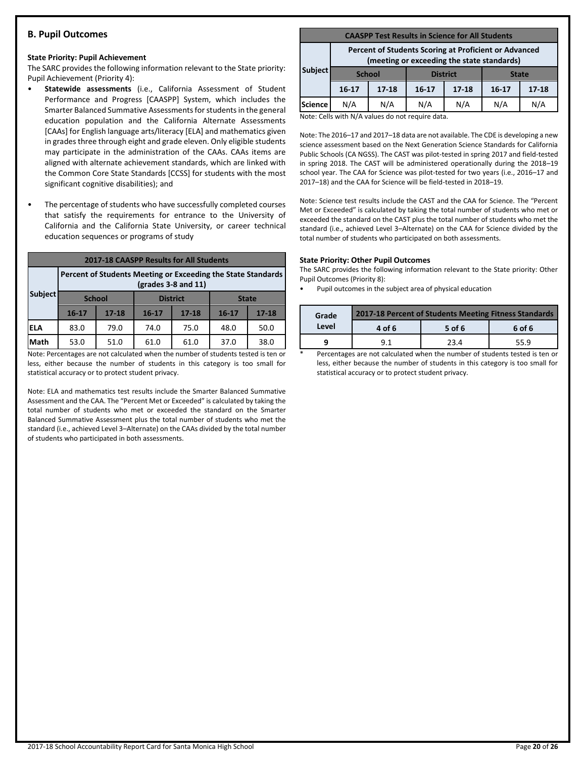## **B. Pupil Outcomes**

#### **State Priority: Pupil Achievement**

The SARC provides the following information relevant to the State priority: Pupil Achievement (Priority 4):

- **Statewide assessments** (i.e., California Assessment of Student Performance and Progress [CAASPP] System, which includes the Smarter Balanced Summative Assessments for students in the general education population and the California Alternate Assessments [CAAs] for English language arts/literacy [ELA] and mathematics given in grades three through eight and grade eleven. Only eligible students may participate in the administration of the CAAs. CAAs items are aligned with alternate achievement standards, which are linked with the Common Core State Standards [CCSS] for students with the most significant cognitive disabilities); and
- The percentage of students who have successfully completed courses that satisfy the requirements for entrance to the University of California and the California State University, or career technical education sequences or programs of study

| <b>2017-18 CAASPP Results for All Students</b> |                                                                                       |           |           |                 |           |              |  |
|------------------------------------------------|---------------------------------------------------------------------------------------|-----------|-----------|-----------------|-----------|--------------|--|
|                                                | Percent of Students Meeting or Exceeding the State Standards<br>$(grades 3-8 and 11)$ |           |           |                 |           |              |  |
| Subject                                        | <b>School</b>                                                                         |           |           | <b>District</b> |           | <b>State</b> |  |
|                                                | $16 - 17$                                                                             | $17 - 18$ | $16 - 17$ | $17 - 18$       | $16 - 17$ | $17 - 18$    |  |
| <b>ELA</b>                                     | 83.0                                                                                  | 79.0      | 74.0      | 75.0            | 48.0      | 50.0         |  |
| Math                                           | 53.0                                                                                  | 51.0      | 61.0      | 61.0            | 37.0      | 38.0         |  |

Note: Percentages are not calculated when the number of students tested is ten or less, either because the number of students in this category is too small for statistical accuracy or to protect student privacy.

Note: ELA and mathematics test results include the Smarter Balanced Summative Assessment and the CAA. The "Percent Met or Exceeded" is calculated by taking the total number of students who met or exceeded the standard on the Smarter Balanced Summative Assessment plus the total number of students who met the standard (i.e., achieved Level 3–Alternate) on the CAAs divided by the total number of students who participated in both assessments.

#### **CAASPP Test Results in Science for All Students**

**Percent of Students Scoring at Proficient or Advanced (meeting or exceeding the state standards)**

| Subject | <b>School</b> |           | <b>District</b> |           |           | <b>State</b> |
|---------|---------------|-----------|-----------------|-----------|-----------|--------------|
|         | $16 - 17$     | $17 - 18$ | $16 - 17$       | $17 - 18$ | $16 - 17$ | $17 - 18$    |
| Science | N/A           | N/A       | N/A             | N/A       | N/A       | N/A          |
|         |               |           |                 |           |           |              |

Note: Cells with N/A values do not require data.

Note: The 2016–17 and 2017–18 data are not available. The CDE is developing a new science assessment based on the Next Generation Science Standards for California Public Schools (CA NGSS). The CAST was pilot-tested in spring 2017 and field-tested in spring 2018. The CAST will be administered operationally during the 2018–19 school year. The CAA for Science was pilot-tested for two years (i.e., 2016–17 and 2017–18) and the CAA for Science will be field-tested in 2018–19.

Note: Science test results include the CAST and the CAA for Science. The "Percent Met or Exceeded" is calculated by taking the total number of students who met or exceeded the standard on the CAST plus the total number of students who met the standard (i.e., achieved Level 3–Alternate) on the CAA for Science divided by the total number of students who participated on both assessments.

#### **State Priority: Other Pupil Outcomes**

The SARC provides the following information relevant to the State priority: Other Pupil Outcomes (Priority 8):

Pupil outcomes in the subject area of physical education

| Grade | 2017-18 Percent of Students Meeting Fitness Standards |          |        |  |  |
|-------|-------------------------------------------------------|----------|--------|--|--|
| Level | 4 of 6                                                | $5$ of 6 | 6 of 6 |  |  |
|       |                                                       | 23.4     | 55.9   |  |  |

Percentages are not calculated when the number of students tested is ten or less, either because the number of students in this category is too small for statistical accuracy or to protect student privacy.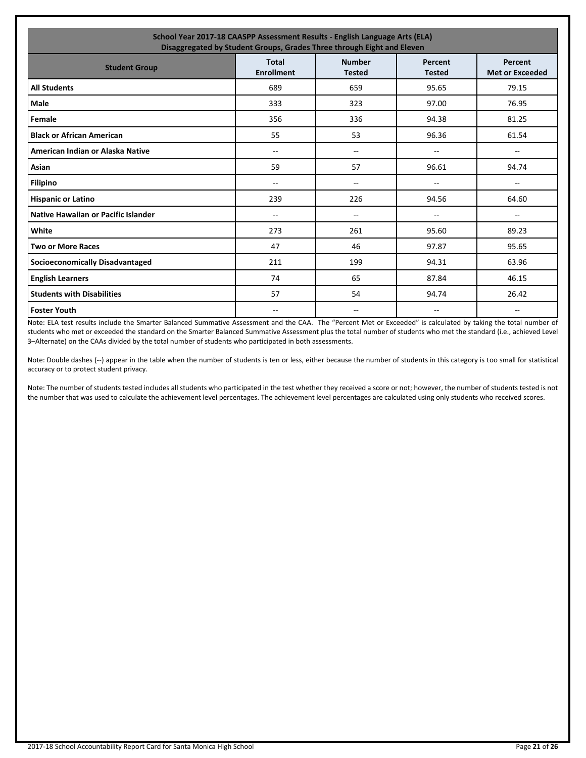| School Year 2017-18 CAASPP Assessment Results - English Language Arts (ELA)<br>Disaggregated by Student Groups, Grades Three through Eight and Eleven        |                          |       |       |                |  |  |  |  |
|--------------------------------------------------------------------------------------------------------------------------------------------------------------|--------------------------|-------|-------|----------------|--|--|--|--|
| <b>Number</b><br><b>Total</b><br>Percent<br>Percent<br><b>Student Group</b><br><b>Enrollment</b><br><b>Tested</b><br><b>Tested</b><br><b>Met or Exceeded</b> |                          |       |       |                |  |  |  |  |
| <b>All Students</b>                                                                                                                                          | 689                      | 659   | 95.65 | 79.15          |  |  |  |  |
| Male                                                                                                                                                         | 333                      | 323   | 97.00 | 76.95          |  |  |  |  |
| Female                                                                                                                                                       | 356                      | 336   | 94.38 | 81.25          |  |  |  |  |
| <b>Black or African American</b>                                                                                                                             | 55                       | 53    | 96.36 | 61.54          |  |  |  |  |
| American Indian or Alaska Native                                                                                                                             | $\overline{\phantom{a}}$ | --    | --    | $- -$          |  |  |  |  |
| Asian                                                                                                                                                        | 59                       | 57    | 96.61 | 94.74          |  |  |  |  |
| <b>Filipino</b>                                                                                                                                              | $\overline{\phantom{a}}$ | --    | --    | --             |  |  |  |  |
| <b>Hispanic or Latino</b>                                                                                                                                    | 239                      | 226   | 94.56 | 64.60          |  |  |  |  |
| Native Hawaiian or Pacific Islander                                                                                                                          | $-$                      | $- -$ | $-$   | $\overline{a}$ |  |  |  |  |
| White                                                                                                                                                        | 273                      | 261   | 95.60 | 89.23          |  |  |  |  |
| <b>Two or More Races</b>                                                                                                                                     | 47                       | 46    | 97.87 | 95.65          |  |  |  |  |
| <b>Socioeconomically Disadvantaged</b>                                                                                                                       | 211                      | 199   | 94.31 | 63.96          |  |  |  |  |
| <b>English Learners</b>                                                                                                                                      | 74                       | 65    | 87.84 | 46.15          |  |  |  |  |
| <b>Students with Disabilities</b>                                                                                                                            | 57                       | 54    | 94.74 | 26.42          |  |  |  |  |
| <b>Foster Youth</b>                                                                                                                                          | $-$                      | $-$   | $-$   | --             |  |  |  |  |

Note: ELA test results include the Smarter Balanced Summative Assessment and the CAA. The "Percent Met or Exceeded" is calculated by taking the total number of students who met or exceeded the standard on the Smarter Balanced Summative Assessment plus the total number of students who met the standard (i.e., achieved Level 3–Alternate) on the CAAs divided by the total number of students who participated in both assessments.

Note: Double dashes (--) appear in the table when the number of students is ten or less, either because the number of students in this category is too small for statistical accuracy or to protect student privacy.

Note: The number of students tested includes all students who participated in the test whether they received a score or not; however, the number of students tested is not the number that was used to calculate the achievement level percentages. The achievement level percentages are calculated using only students who received scores.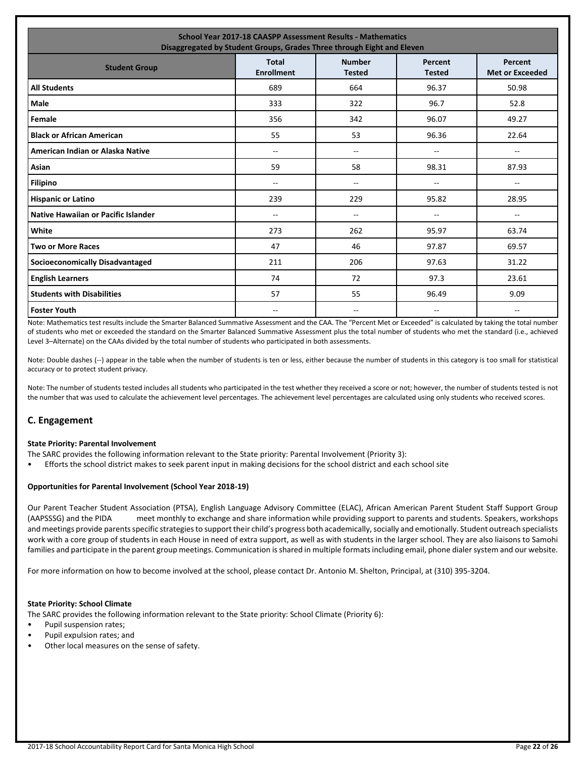| <b>School Year 2017-18 CAASPP Assessment Results - Mathematics</b><br>Disaggregated by Student Groups, Grades Three through Eight and Eleven      |                          |       |                |                          |  |  |  |
|---------------------------------------------------------------------------------------------------------------------------------------------------|--------------------------|-------|----------------|--------------------------|--|--|--|
| <b>Number</b><br><b>Total</b><br>Percent<br><b>Student Group</b><br><b>Enrollment</b><br><b>Tested</b><br><b>Tested</b><br><b>Met or Exceeded</b> |                          |       |                |                          |  |  |  |
| <b>All Students</b>                                                                                                                               | 689                      | 664   | 96.37          | 50.98                    |  |  |  |
| <b>Male</b>                                                                                                                                       | 333                      | 322   | 96.7           | 52.8                     |  |  |  |
| Female                                                                                                                                            | 356                      | 342   | 96.07          | 49.27                    |  |  |  |
| <b>Black or African American</b>                                                                                                                  | 55                       | 53    | 96.36          | 22.64                    |  |  |  |
| American Indian or Alaska Native                                                                                                                  | $-$                      | $- -$ | --             | $\overline{\phantom{a}}$ |  |  |  |
| Asian                                                                                                                                             | 59                       | 58    | 98.31          | 87.93                    |  |  |  |
| <b>Filipino</b>                                                                                                                                   | $-$                      | $- -$ | $\overline{a}$ | $\overline{a}$           |  |  |  |
| <b>Hispanic or Latino</b>                                                                                                                         | 239                      | 229   | 95.82          | 28.95                    |  |  |  |
| Native Hawaiian or Pacific Islander                                                                                                               | $\overline{\phantom{a}}$ | --    | --             | $\overline{\phantom{m}}$ |  |  |  |
| White                                                                                                                                             | 273                      | 262   | 95.97          | 63.74                    |  |  |  |
| <b>Two or More Races</b>                                                                                                                          | 47                       | 46    | 97.87          | 69.57                    |  |  |  |
| <b>Socioeconomically Disadvantaged</b>                                                                                                            | 211                      | 206   | 97.63          | 31.22                    |  |  |  |
| <b>English Learners</b>                                                                                                                           | 74                       | 72    | 97.3           | 23.61                    |  |  |  |
| <b>Students with Disabilities</b>                                                                                                                 | 57                       | 55    | 96.49          | 9.09                     |  |  |  |
| <b>Foster Youth</b>                                                                                                                               | --                       | --    | --             | --                       |  |  |  |

Note: Mathematics test results include the Smarter Balanced Summative Assessment and the CAA. The "Percent Met or Exceeded" is calculated by taking the total number of students who met or exceeded the standard on the Smarter Balanced Summative Assessment plus the total number of students who met the standard (i.e., achieved Level 3–Alternate) on the CAAs divided by the total number of students who participated in both assessments.

Note: Double dashes (--) appear in the table when the number of students is ten or less, either because the number of students in this category is too small for statistical accuracy or to protect student privacy.

Note: The number of students tested includes all students who participated in the test whether they received a score or not; however, the number of students tested is not the number that was used to calculate the achievement level percentages. The achievement level percentages are calculated using only students who received scores.

## **C. Engagement**

## **State Priority: Parental Involvement**

- The SARC provides the following information relevant to the State priority: Parental Involvement (Priority 3):
- Efforts the school district makes to seek parent input in making decisions for the school district and each school site

## **Opportunities for Parental Involvement (School Year 2018-19)**

Our Parent Teacher Student Association (PTSA), English Language Advisory Committee (ELAC), African American Parent Student Staff Support Group (AAPSSSG) and the PIDA meet monthly to exchange and share information while providing support to parents and students. Speakers, workshops and meetings provide parents specific strategies to support their child's progress both academically, socially and emotionally. Student outreach specialists work with a core group of students in each House in need of extra support, as well as with students in the larger school. They are also liaisons to Samohi families and participate in the parent group meetings. Communication is shared in multiple formats including email, phone dialer system and our website.

For more information on how to become involved at the school, please contact Dr. Antonio M. Shelton, Principal, at (310) 395-3204.

#### **State Priority: School Climate**

The SARC provides the following information relevant to the State priority: School Climate (Priority 6):

- Pupil suspension rates;
- Pupil expulsion rates; and
- Other local measures on the sense of safety.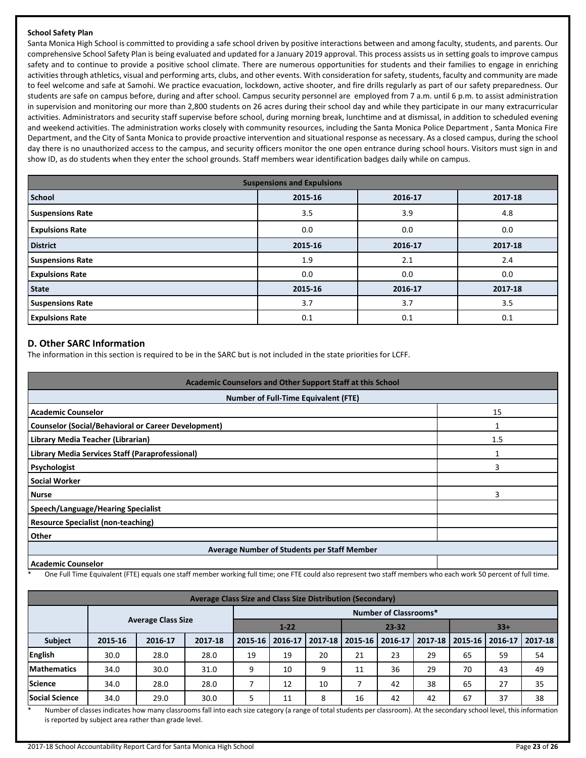## **School Safety Plan**

Santa Monica High School is committed to providing a safe school driven by positive interactions between and among faculty, students, and parents. Our comprehensive School Safety Plan is being evaluated and updated for a January 2019 approval. This process assists us in setting goals to improve campus safety and to continue to provide a positive school climate. There are numerous opportunities for students and their families to engage in enriching activities through athletics, visual and performing arts, clubs, and other events. With consideration for safety, students, faculty and community are made to feel welcome and safe at Samohi. We practice evacuation, lockdown, active shooter, and fire drills regularly as part of our safety preparedness. Our students are safe on campus before, during and after school. Campus security personnel are employed from 7 a.m. until 6 p.m. to assist administration in supervision and monitoring our more than 2,800 students on 26 acres during their school day and while they participate in our many extracurricular activities. Administrators and security staff supervise before school, during morning break, lunchtime and at dismissal, in addition to scheduled evening and weekend activities. The administration works closely with community resources, including the Santa Monica Police Department , Santa Monica Fire Department, and the City of Santa Monica to provide proactive intervention and situational response as necessary. As a closed campus, during the school day there is no unauthorized access to the campus, and security officers monitor the one open entrance during school hours. Visitors must sign in and show ID, as do students when they enter the school grounds. Staff members wear identification badges daily while on campus.

| <b>Suspensions and Expulsions</b> |         |         |         |  |  |  |
|-----------------------------------|---------|---------|---------|--|--|--|
| <b>School</b>                     | 2015-16 | 2016-17 | 2017-18 |  |  |  |
| <b>Suspensions Rate</b>           | 3.5     | 3.9     | 4.8     |  |  |  |
| <b>Expulsions Rate</b>            | 0.0     | 0.0     | 0.0     |  |  |  |
| <b>District</b>                   | 2015-16 | 2016-17 | 2017-18 |  |  |  |
| <b>Suspensions Rate</b>           | 1.9     | 2.1     | 2.4     |  |  |  |
| <b>Expulsions Rate</b>            | 0.0     | 0.0     | 0.0     |  |  |  |
| <b>State</b>                      | 2015-16 | 2016-17 | 2017-18 |  |  |  |
| <b>Suspensions Rate</b>           | 3.7     | 3.7     | 3.5     |  |  |  |
| <b>Expulsions Rate</b>            | 0.1     | 0.1     | 0.1     |  |  |  |

## **D. Other SARC Information**

The information in this section is required to be in the SARC but is not included in the state priorities for LCFF.

| <b>Academic Counselors and Other Support Staff at this School</b> |     |  |  |  |
|-------------------------------------------------------------------|-----|--|--|--|
| <b>Number of Full-Time Equivalent (FTE)</b>                       |     |  |  |  |
| <b>Academic Counselor</b>                                         | 15  |  |  |  |
| <b>Counselor (Social/Behavioral or Career Development)</b>        |     |  |  |  |
| Library Media Teacher (Librarian)                                 | 1.5 |  |  |  |
| Library Media Services Staff (Paraprofessional)                   |     |  |  |  |
| Psychologist                                                      | 3   |  |  |  |
| <b>Social Worker</b>                                              |     |  |  |  |
| <b>Nurse</b>                                                      | 3   |  |  |  |
| Speech/Language/Hearing Specialist                                |     |  |  |  |
| <b>Resource Specialist (non-teaching)</b>                         |     |  |  |  |
| Other                                                             |     |  |  |  |
| Average Number of Students per Staff Member                       |     |  |  |  |
| <b>Academic Counselor</b>                                         |     |  |  |  |

One Full Time Equivalent (FTE) equals one staff member working full time; one FTE could also represent two staff members who each work 50 percent of full time.

| <b>Average Class Size and Class Size Distribution (Secondary)</b> |                              |                           |         |                                |         |         |         |         |         |         |         |         |
|-------------------------------------------------------------------|------------------------------|---------------------------|---------|--------------------------------|---------|---------|---------|---------|---------|---------|---------|---------|
|                                                                   | <b>Number of Classrooms*</b> |                           |         |                                |         |         |         |         |         |         |         |         |
|                                                                   |                              | <b>Average Class Size</b> |         | $1 - 22$<br>$33+$<br>$23 - 32$ |         |         |         |         |         |         |         |         |
| <b>Subject</b>                                                    | 2015-16                      | 2016-17                   | 2017-18 | 2015-16                        | 2016-17 | 2017-18 | 2015-16 | 2016-17 | 2017-18 | 2015-16 | 2016-17 | 2017-18 |
| <b>English</b>                                                    | 30.0                         | 28.0                      | 28.0    | 19                             | 19      | 20      | 21      | 23      | 29      | 65      | 59      | 54      |
| <b>Mathematics</b>                                                | 34.0                         | 30.0                      | 31.0    | 9                              | 10      | 9       | 11      | 36      | 29      | 70      | 43      | 49      |
| <b>Science</b>                                                    | 34.0                         | 28.0                      | 28.0    |                                | 12      | 10      |         | 42      | 38      | 65      | 27      | 35      |
| <b>Social Science</b>                                             | 34.0                         | 29.0                      | 30.0    | 5                              | 11      | 8       | 16      | 42      | 42      | 67      | 37      | 38      |

\* Number of classes indicates how many classrooms fall into each size category (a range of total students per classroom). At the secondary school level, this information is reported by subject area rather than grade level.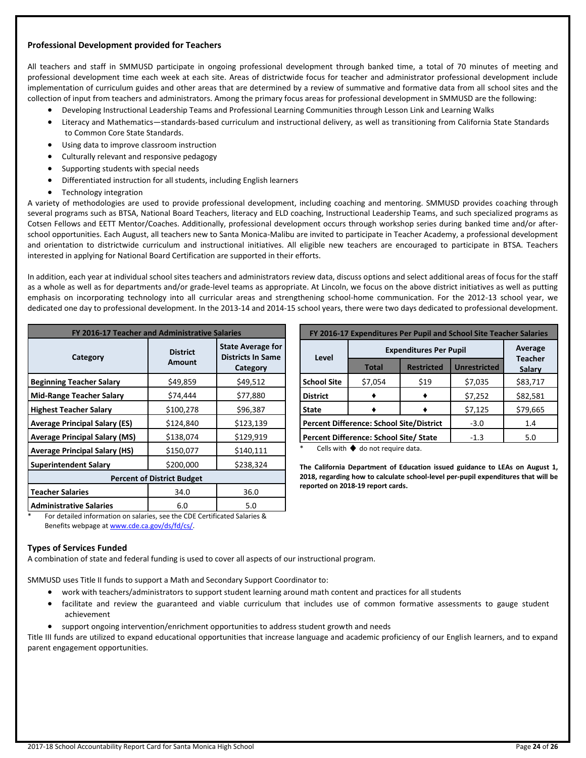## **Professional Development provided for Teachers**

All teachers and staff in SMMUSD participate in ongoing professional development through banked time, a total of 70 minutes of meeting and professional development time each week at each site. Areas of districtwide focus for teacher and administrator professional development include implementation of curriculum guides and other areas that are determined by a review of summative and formative data from all school sites and the collection of input from teachers and administrators. Among the primary focus areas for professional development in SMMUSD are the following:

- Developing Instructional Leadership Teams and Professional Learning Communities through Lesson Link and Learning Walks
- Literacy and Mathematics—standards-based curriculum and instructional delivery, as well as transitioning from California State Standards to Common Core State Standards.
- Using data to improve classroom instruction
- Culturally relevant and responsive pedagogy
- Supporting students with special needs
- Differentiated instruction for all students, including English learners
- Technology integration

A variety of methodologies are used to provide professional development, including coaching and mentoring. SMMUSD provides coaching through several programs such as BTSA, National Board Teachers, literacy and ELD coaching, Instructional Leadership Teams, and such specialized programs as Cotsen Fellows and EETT Mentor/Coaches. Additionally, professional development occurs through workshop series during banked time and/or afterschool opportunities. Each August, all teachers new to Santa Monica-Malibu are invited to participate in Teacher Academy, a professional development and orientation to districtwide curriculum and instructional initiatives. All eligible new teachers are encouraged to participate in BTSA. Teachers interested in applying for National Board Certification are supported in their efforts.

In addition, each year at individual school sites teachers and administrators review data, discuss options and select additional areas of focus for the staff as a whole as well as for departments and/or grade-level teams as appropriate. At Lincoln, we focus on the above district initiatives as well as putting emphasis on incorporating technology into all curricular areas and strengthening school-home communication. For the 2012-13 school year, we dedicated one day to professional development. In the 2013-14 and 2014-15 school years, there were two days dedicated to professional development.

| FY 2016-17 Teacher and Administrative Salaries |                                  |                                                                  |  |  |  |
|------------------------------------------------|----------------------------------|------------------------------------------------------------------|--|--|--|
| Category                                       | <b>District</b><br><b>Amount</b> | <b>State Average for</b><br><b>Districts In Same</b><br>Category |  |  |  |
| <b>Beginning Teacher Salary</b>                | \$49,859                         | \$49,512                                                         |  |  |  |
| <b>Mid-Range Teacher Salary</b>                | \$74,444                         | \$77,880                                                         |  |  |  |
| <b>Highest Teacher Salary</b>                  | \$100,278                        | \$96,387                                                         |  |  |  |
| <b>Average Principal Salary (ES)</b>           | \$124,840                        | \$123,139                                                        |  |  |  |
| <b>Average Principal Salary (MS)</b>           | \$138,074                        | \$129,919                                                        |  |  |  |
| <b>Average Principal Salary (HS)</b>           | \$150,077                        | \$140,111                                                        |  |  |  |
| <b>Superintendent Salary</b>                   | \$200,000                        | \$238,324                                                        |  |  |  |
| <b>Percent of District Budget</b>              |                                  |                                                                  |  |  |  |
| <b>Teacher Salaries</b>                        | 34.0                             | 36.0                                                             |  |  |  |
| <b>Administrative Salaries</b>                 | 6.0                              | 5.0                                                              |  |  |  |

| FY 2016-17 Expenditures Per Pupil and School Site Teacher Salaries |                                                         |                                          |         |          |  |  |  |
|--------------------------------------------------------------------|---------------------------------------------------------|------------------------------------------|---------|----------|--|--|--|
| Level                                                              | <b>Expenditures Per Pupil</b>                           | Average<br><b>Teacher</b>                |         |          |  |  |  |
|                                                                    | <b>Total</b>                                            | <b>Unrestricted</b><br><b>Restricted</b> |         |          |  |  |  |
| <b>School Site</b>                                                 | \$7,054                                                 | \$19                                     | \$7,035 | \$83,717 |  |  |  |
| <b>District</b>                                                    |                                                         |                                          | \$7,252 | \$82,581 |  |  |  |
| <b>State</b>                                                       |                                                         |                                          |         | \$79,665 |  |  |  |
| <b>Percent Difference: School Site/District</b><br>$-3.0$          |                                                         |                                          |         |          |  |  |  |
|                                                                    | Percent Difference: School Site/ State<br>$-1.3$<br>5.0 |                                          |         |          |  |  |  |

Cells with  $\blacklozenge$  do not require data.

**The California Department of Education issued guidance to LEAs on August 1, 2018, regarding how to calculate school-level per-pupil expenditures that will be reported on 2018-19 report cards.**

For detailed information on salaries, see the CDE Certificated Salaries & Benefits webpage a[t www.cde.ca.gov/ds/fd/cs/.](http://www.cde.ca.gov/ds/fd/cs/)

## **Types of Services Funded**

A combination of state and federal funding is used to cover all aspects of our instructional program.

SMMUSD uses Title II funds to support a Math and Secondary Support Coordinator to:

- work with teachers/administrators to support student learning around math content and practices for all students
- facilitate and review the guaranteed and viable curriculum that includes use of common formative assessments to gauge student achievement
- support ongoing intervention/enrichment opportunities to address student growth and needs

Title III funds are utilized to expand educational opportunities that increase language and academic proficiency of our English learners, and to expand parent engagement opportunities.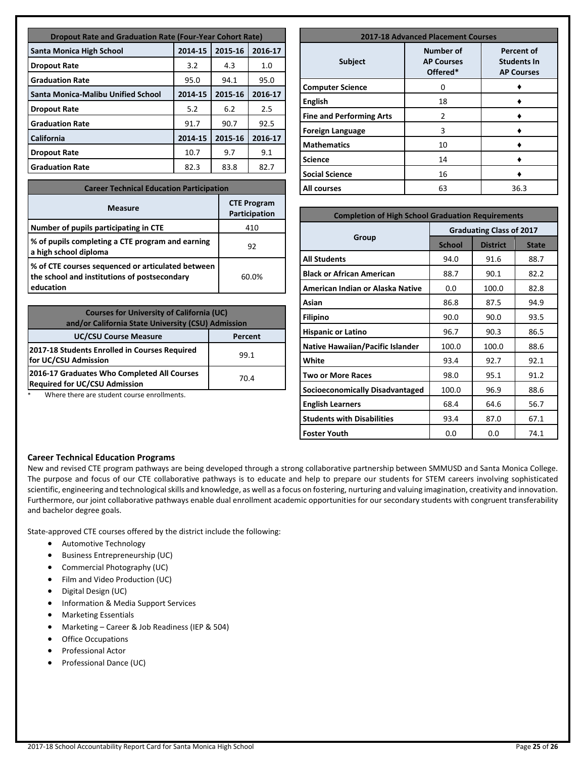| <b>Dropout Rate and Graduation Rate (Four-Year Cohort Rate)</b> |         |         |         |  |  |
|-----------------------------------------------------------------|---------|---------|---------|--|--|
| Santa Monica High School                                        | 2015-16 | 2016-17 |         |  |  |
| <b>Dropout Rate</b>                                             | 3.2     | 4.3     | 1.0     |  |  |
| <b>Graduation Rate</b>                                          | 95.0    | 94.1    | 95.0    |  |  |
| Santa Monica-Malibu Unified School                              | 2014-15 | 2015-16 | 2016-17 |  |  |
| <b>Dropout Rate</b>                                             | 5.2     | 6.2     | 2.5     |  |  |
| <b>Graduation Rate</b>                                          | 91.7    | 90.7    | 92.5    |  |  |
| California                                                      | 2014-15 | 2015-16 | 2016-17 |  |  |
| <b>Dropout Rate</b>                                             | 10.7    | 9.7     | 9.1     |  |  |
| <b>Graduation Rate</b>                                          | 82.3    | 83.8    | 82.7    |  |  |

| <b>Career Technical Education Participation</b>                                                                |                                     |  |  |  |
|----------------------------------------------------------------------------------------------------------------|-------------------------------------|--|--|--|
| <b>Measure</b>                                                                                                 | <b>CTE Program</b><br>Participation |  |  |  |
| Number of pupils participating in CTE                                                                          | 410                                 |  |  |  |
| % of pupils completing a CTE program and earning<br>a high school diploma                                      | 92                                  |  |  |  |
| % of CTE courses sequenced or articulated between<br>the school and institutions of postsecondary<br>education | 60.0%                               |  |  |  |

| <b>Courses for University of California (UC)</b><br>and/or California State University (CSU) Admission |      |  |  |  |
|--------------------------------------------------------------------------------------------------------|------|--|--|--|
| <b>UC/CSU Course Measure</b><br>Percent                                                                |      |  |  |  |
| 2017-18 Students Enrolled in Courses Required<br>for UC/CSU Admission                                  | 99.1 |  |  |  |
| 2016-17 Graduates Who Completed All Courses<br><b>Required for UC/CSU Admission</b>                    | 70.4 |  |  |  |

Where there are student course enrollments.

| <b>2017-18 Advanced Placement Courses</b> |                                                              |      |  |  |  |
|-------------------------------------------|--------------------------------------------------------------|------|--|--|--|
| <b>Subject</b>                            | <b>Percent of</b><br><b>Students In</b><br><b>AP Courses</b> |      |  |  |  |
| <b>Computer Science</b>                   | ი                                                            |      |  |  |  |
| <b>English</b>                            | 18                                                           |      |  |  |  |
| <b>Fine and Performing Arts</b>           | $\mathfrak{p}$                                               |      |  |  |  |
| <b>Foreign Language</b>                   | 3                                                            |      |  |  |  |
| <b>Mathematics</b>                        | 10                                                           |      |  |  |  |
| <b>Science</b>                            | 14                                                           |      |  |  |  |
| <b>Social Science</b>                     | 16                                                           |      |  |  |  |
| <b>All courses</b>                        | 63                                                           | 36.3 |  |  |  |

| <b>Completion of High School Graduation Requirements</b> |                                 |                 |              |  |  |
|----------------------------------------------------------|---------------------------------|-----------------|--------------|--|--|
|                                                          | <b>Graduating Class of 2017</b> |                 |              |  |  |
| Group                                                    | <b>School</b>                   | <b>District</b> | <b>State</b> |  |  |
| <b>All Students</b>                                      | 94.0                            | 91.6            | 88.7         |  |  |
| <b>Black or African American</b>                         | 88.7                            | 90.1            | 82.2         |  |  |
| American Indian or Alaska Native                         | 0.0                             | 100.0           | 82.8         |  |  |
| Asian                                                    | 86.8                            | 87.5            | 94.9         |  |  |
| <b>Filipino</b>                                          | 90.0                            | 90.0            | 93.5         |  |  |
| <b>Hispanic or Latino</b>                                | 96.7                            | 90.3            | 86.5         |  |  |
| <b>Native Hawaiian/Pacific Islander</b>                  | 100.0                           | 100.0           | 88.6         |  |  |
| White                                                    | 93.4                            | 92.7            | 92.1         |  |  |
| <b>Two or More Races</b>                                 | 98.0                            | 95.1            | 91.2         |  |  |
| Socioeconomically Disadvantaged                          | 100.0                           | 96.9            | 88.6         |  |  |
| <b>English Learners</b>                                  | 68.4                            | 64.6            | 56.7         |  |  |
| <b>Students with Disabilities</b>                        | 93.4                            | 87.0            | 67.1         |  |  |
| <b>Foster Youth</b>                                      | 0.0                             | 0.0             | 74.1         |  |  |

## **Career Technical Education Programs**

New and revised CTE program pathways are being developed through a strong collaborative partnership between SMMUSD and Santa Monica College. The purpose and focus of our CTE collaborative pathways is to educate and help to prepare our students for STEM careers involving sophisticated scientific, engineering and technological skills and knowledge, as well as a focus on fostering, nurturing and valuing imagination, creativity and innovation. Furthermore, our joint collaborative pathways enable dual enrollment academic opportunities for our secondary students with congruent transferability and bachelor degree goals.

State-approved CTE courses offered by the district include the following:

- Automotive Technology
- Business Entrepreneurship (UC)
- Commercial Photography (UC)
- Film and Video Production (UC)
- Digital Design (UC)
- Information & Media Support Services
- Marketing Essentials
- Marketing Career & Job Readiness (IEP & 504)
- Office Occupations
- Professional Actor
- Professional Dance (UC)